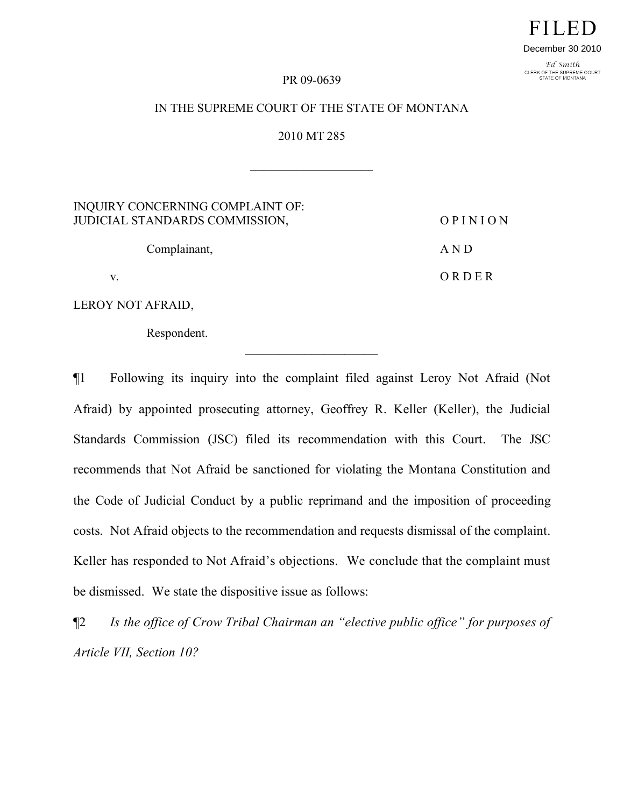# FILED December 30 2010

Ed Smith CLERK OF THE SUPREME COURT<br>STATE OF MONTANA

#### PR 09-0639

## IN THE SUPREME COURT OF THE STATE OF MONTANA

2010 MT 285

 $\overline{\phantom{a}}$  , where  $\overline{\phantom{a}}$ 

INQUIRY CONCERNING COMPLAINT OF: JUDICIAL STANDARDS COMMISSION, O P I N I O N

Complainant, A N D

v. O R D E R

LEROY NOT AFRAID,

Respondent.

¶1 Following its inquiry into the complaint filed against Leroy Not Afraid (Not Afraid) by appointed prosecuting attorney, Geoffrey R. Keller (Keller), the Judicial Standards Commission (JSC) filed its recommendation with this Court. The JSC recommends that Not Afraid be sanctioned for violating the Montana Constitution and the Code of Judicial Conduct by a public reprimand and the imposition of proceeding costs. Not Afraid objects to the recommendation and requests dismissal of the complaint. Keller has responded to Not Afraid's objections. We conclude that the complaint must be dismissed. We state the dispositive issue as follows:

¶2 *Is the office of Crow Tribal Chairman an "elective public office" for purposes of Article VII, Section 10?*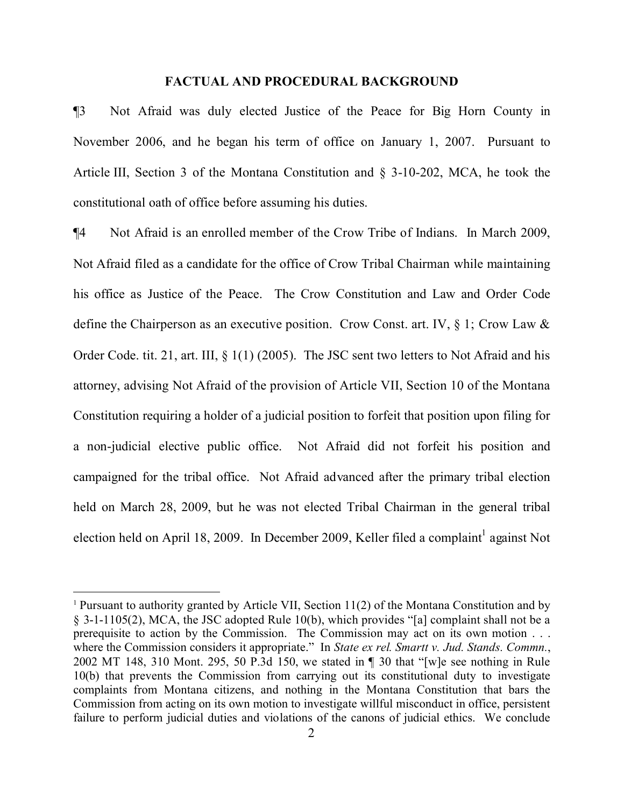#### **FACTUAL AND PROCEDURAL BACKGROUND**

¶3 Not Afraid was duly elected Justice of the Peace for Big Horn County in November 2006, and he began his term of office on January 1, 2007. Pursuant to Article III, Section 3 of the Montana Constitution and § 3-10-202, MCA, he took the constitutional oath of office before assuming his duties.

¶4 Not Afraid is an enrolled member of the Crow Tribe of Indians. In March 2009, Not Afraid filed as a candidate for the office of Crow Tribal Chairman while maintaining his office as Justice of the Peace. The Crow Constitution and Law and Order Code define the Chairperson as an executive position. Crow Const. art. IV, § 1; Crow Law & Order Code. tit. 21, art. III, § 1(1) (2005). The JSC sent two letters to Not Afraid and his attorney, advising Not Afraid of the provision of Article VII, Section 10 of the Montana Constitution requiring a holder of a judicial position to forfeit that position upon filing for a non-judicial elective public office. Not Afraid did not forfeit his position and campaigned for the tribal office. Not Afraid advanced after the primary tribal election held on March 28, 2009, but he was not elected Tribal Chairman in the general tribal election held on April [1](#page-1-0)8, 2009. In December 2009, Keller filed a complaint<sup>1</sup> against Not

<span id="page-1-0"></span><sup>1</sup> Pursuant to authority granted by Article VII, Section 11(2) of the Montana Constitution and by § 3-1-1105(2), MCA, the JSC adopted Rule 10(b), which provides "[a] complaint shall not be a prerequisite to action by the Commission. The Commission may act on its own motion . . . where the Commission considers it appropriate." In *State ex rel. Smartt v. Jud. Stands. Commn.*, 2002 MT 148, 310 Mont. 295, 50 P.3d 150, we stated in ¶ 30 that "[w]e see nothing in Rule 10(b) that prevents the Commission from carrying out its constitutional duty to investigate complaints from Montana citizens, and nothing in the Montana Constitution that bars the Commission from acting on its own motion to investigate willful misconduct in office, persistent failure to perform judicial duties and violations of the canons of judicial ethics. We conclude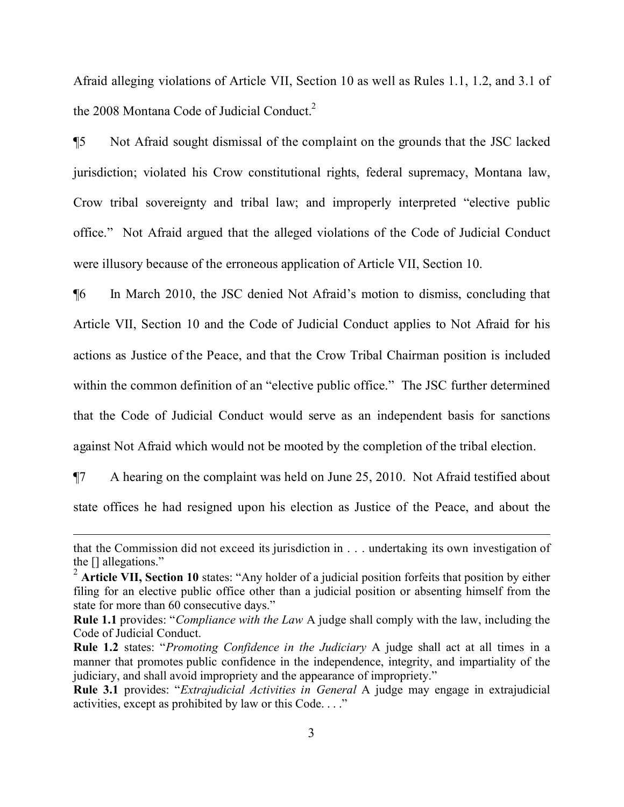Afraid alleging violations of Article VII, Section 10 as well as Rules 1.1, 1.2, and 3.1 of the [2](#page-2-0)008 Montana Code of Judicial Conduct.<sup>2</sup>

¶5 Not Afraid sought dismissal of the complaint on the grounds that the JSC lacked jurisdiction; violated his Crow constitutional rights, federal supremacy, Montana law, Crow tribal sovereignty and tribal law; and improperly interpreted "elective public office." Not Afraid argued that the alleged violations of the Code of Judicial Conduct were illusory because of the erroneous application of Article VII, Section 10.

¶6 In March 2010, the JSC denied Not Afraid's motion to dismiss, concluding that Article VII, Section 10 and the Code of Judicial Conduct applies to Not Afraid for his actions as Justice of the Peace, and that the Crow Tribal Chairman position is included within the common definition of an "elective public office." The JSC further determined that the Code of Judicial Conduct would serve as an independent basis for sanctions against Not Afraid which would not be mooted by the completion of the tribal election.

¶7 A hearing on the complaint was held on June 25, 2010. Not Afraid testified about state offices he had resigned upon his election as Justice of the Peace, and about the

that the Commission did not exceed its jurisdiction in . . . undertaking its own investigation of the [] allegations."

<span id="page-2-0"></span><sup>&</sup>lt;sup>2</sup> Article VII, Section 10 states: "Any holder of a judicial position forfeits that position by either filing for an elective public office other than a judicial position or absenting himself from the state for more than 60 consecutive days."

**Rule 1.1** provides: "*Compliance with the Law* A judge shall comply with the law, including the Code of Judicial Conduct.

**Rule 1.2** states: "*Promoting Confidence in the Judiciary* A judge shall act at all times in a manner that promotes public confidence in the independence, integrity, and impartiality of the judiciary, and shall avoid impropriety and the appearance of impropriety."

**Rule 3.1** provides: "*Extrajudicial Activities in General* A judge may engage in extrajudicial activities, except as prohibited by law or this Code. . . ."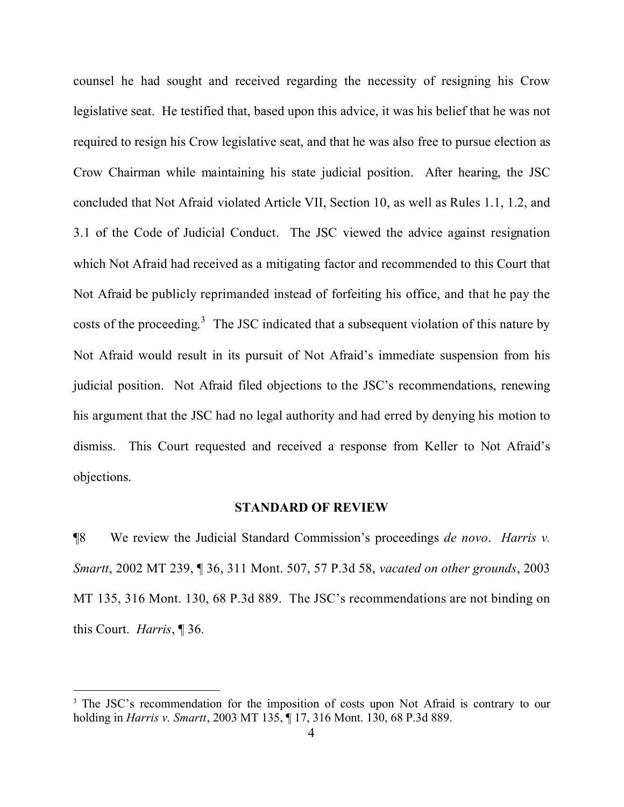counsel he had sought and received regarding the necessity of resigning his Crow legislative seat. He testified that, based upon this advice, it was his belief that he was not required to resign his Crow legislative seat, and that he was also free to pursue election as Crow Chairman while maintaining his state judicial position. After hearing, the JSC concluded that Not Afraid violated Article VII, Section 10, as well as Rules 1.1, 1.2, and 3.1 of the Code of Judicial Conduct. The JSC viewed the advice against resignation which Not Afraid had received as a mitigating factor and recommended to this Court that Not Afraid be publicly reprimanded instead of forfeiting his office, and that he pay the costs of the proceeding.<sup>[3](#page-3-0)</sup> The JSC indicated that a subsequent violation of this nature by Not Afraid would result in its pursuit of Not Afraid's immediate suspension from his judicial position. Not Afraid filed objections to the JSC's recommendations, renewing his argument that the JSC had no legal authority and had erred by denying his motion to dismiss. This Court requested and received a response from Keller to Not Afraid's objections.

#### **STANDARD OF REVIEW**

¶8 We review the Judicial Standard Commission's proceedings *de novo*. *Harris v. Smartt*, 2002 MT 239, ¶ 36, 311 Mont. 507, 57 P.3d 58, *vacated on other grounds*, 2003 MT 135, 316 Mont. 130, 68 P.3d 889. The JSC's recommendations are not binding on this Court. *Harris*, ¶ 36.

 $\overline{a}$ 

<span id="page-3-0"></span><sup>&</sup>lt;sup>3</sup> The JSC's recommendation for the imposition of costs upon Not Afraid is contrary to our holding in *Harris v. Smartt*, 2003 MT 135, ¶ 17, 316 Mont. 130, 68 P.3d 889.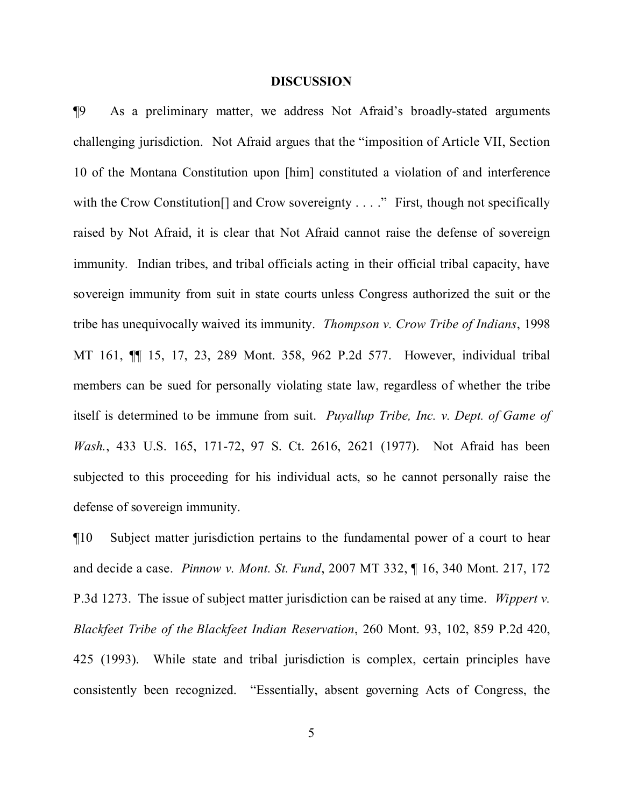#### **DISCUSSION**

¶9 As a preliminary matter, we address Not Afraid's broadly-stated arguments challenging jurisdiction. Not Afraid argues that the "imposition of Article VII, Section 10 of the Montana Constitution upon [him] constituted a violation of and interference with the Crow Constitution<sup>[]</sup> and Crow sovereignty . . . ." First, though not specifically raised by Not Afraid, it is clear that Not Afraid cannot raise the defense of sovereign immunity. Indian tribes, and tribal officials acting in their official tribal capacity, have sovereign immunity from suit in state courts unless Congress authorized the suit or the tribe has unequivocally waived its immunity. *Thompson v. Crow Tribe of Indians*, 1998 MT 161, ¶¶ 15, 17, 23, 289 Mont. 358, 962 P.2d 577. However, individual tribal members can be sued for personally violating state law, regardless of whether the tribe itself is determined to be immune from suit. *Puyallup Tribe, Inc. v. Dept. of Game of Wash.*, 433 U.S. 165, 171-72, 97 S. Ct. 2616, 2621 (1977). Not Afraid has been subjected to this proceeding for his individual acts, so he cannot personally raise the defense of sovereign immunity.

¶10 Subject matter jurisdiction pertains to the fundamental power of a court to hear and decide a case. *Pinnow v. Mont. St. Fund*, 2007 MT 332, ¶ 16, 340 Mont. 217, 172 P.3d 1273. The issue of subject matter jurisdiction can be raised at any time. *Wippert v. Blackfeet Tribe of the Blackfeet Indian Reservation*, 260 Mont. 93, 102, 859 P.2d 420, 425 (1993). While state and tribal jurisdiction is complex, certain principles have consistently been recognized. "Essentially, absent governing Acts of Congress, the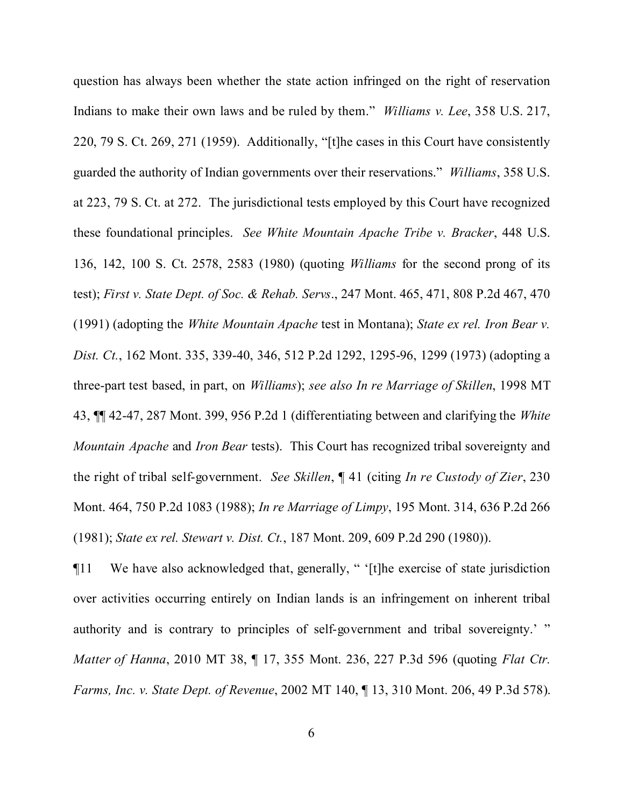question has always been whether the state action infringed on the right of reservation Indians to make their own laws and be ruled by them." *Williams v. Lee*, 358 U.S. 217, 220, 79 S. Ct. 269, 271 (1959). Additionally, "[t]he cases in this Court have consistently guarded the authority of Indian governments over their reservations." *Williams*, 358 U.S. at 223, 79 S. Ct. at 272. The jurisdictional tests employed by this Court have recognized these foundational principles. *See White Mountain Apache Tribe v. Bracker*, 448 U.S. 136, 142, 100 S. Ct. 2578, 2583 (1980) (quoting *Williams* for the second prong of its test); *First v. State Dept. of Soc. & Rehab. Servs*., 247 Mont. 465, 471, 808 P.2d 467, 470 (1991) (adopting the *White Mountain Apache* test in Montana); *State ex rel. Iron Bear v. Dist. Ct.*, 162 Mont. 335, 339-40, 346, 512 P.2d 1292, 1295-96, 1299 (1973) (adopting a three-part test based, in part, on *Williams*); *see also In re Marriage of Skillen*, 1998 MT 43, ¶¶ 42-47, 287 Mont. 399, 956 P.2d 1 (differentiating between and clarifying the *White Mountain Apache* and *Iron Bear* tests). This Court has recognized tribal sovereignty and the right of tribal self-government. *See Skillen*, ¶ 41 (citing *In re Custody of Zier*, 230 Mont. 464, 750 P.2d 1083 (1988); *In re Marriage of Limpy*, 195 Mont. 314, 636 P.2d 266 (1981); *State ex rel. Stewart v. Dist. Ct.*, 187 Mont. 209, 609 P.2d 290 (1980)).

¶11 We have also acknowledged that, generally, " '[t]he exercise of state jurisdiction over activities occurring entirely on Indian lands is an infringement on inherent tribal authority and is contrary to principles of self-government and tribal sovereignty.' " *Matter of Hanna*, 2010 MT 38, ¶ 17, 355 Mont. 236, 227 P.3d 596 (quoting *Flat Ctr. Farms, Inc. v. State Dept. of Revenue*, 2002 MT 140, ¶ 13, 310 Mont. 206, 49 P.3d 578).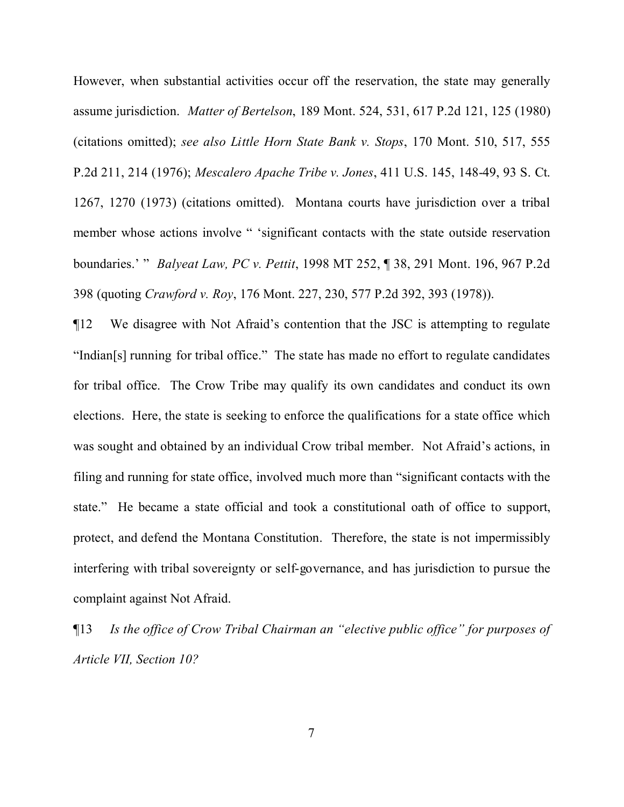However, when substantial activities occur off the reservation, the state may generally assume jurisdiction. *Matter of Bertelson*, 189 Mont. 524, 531, 617 P.2d 121, 125 (1980) (citations omitted); *see also Little Horn State Bank v. Stops*, 170 Mont. 510, 517, 555 P.2d 211, 214 (1976); *Mescalero Apache Tribe v. Jones*, 411 U.S. 145, 148-49, 93 S. Ct. 1267, 1270 (1973) (citations omitted). Montana courts have jurisdiction over a tribal member whose actions involve " 'significant contacts with the state outside reservation boundaries.' " *Balyeat Law, PC v. Pettit*, 1998 MT 252, ¶ 38, 291 Mont. 196, 967 P.2d 398 (quoting *Crawford v. Roy*, 176 Mont. 227, 230, 577 P.2d 392, 393 (1978)).

¶12 We disagree with Not Afraid's contention that the JSC is attempting to regulate "Indian[s] running for tribal office." The state has made no effort to regulate candidates for tribal office. The Crow Tribe may qualify its own candidates and conduct its own elections. Here, the state is seeking to enforce the qualifications for a state office which was sought and obtained by an individual Crow tribal member. Not Afraid's actions, in filing and running for state office, involved much more than "significant contacts with the state." He became a state official and took a constitutional oath of office to support, protect, and defend the Montana Constitution. Therefore, the state is not impermissibly interfering with tribal sovereignty or self-governance, and has jurisdiction to pursue the complaint against Not Afraid.

¶13 *Is the office of Crow Tribal Chairman an "elective public office" for purposes of Article VII, Section 10?*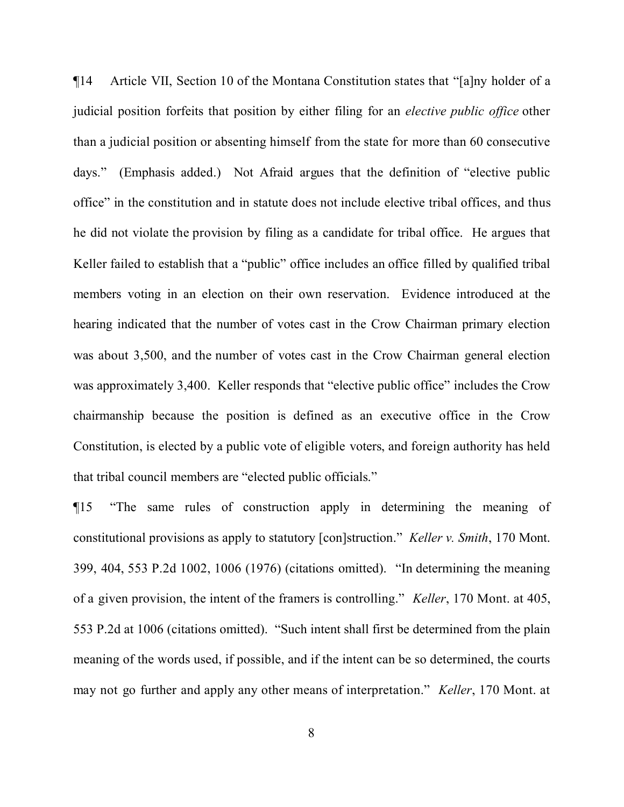¶14 Article VII, Section 10 of the Montana Constitution states that "[a]ny holder of a judicial position forfeits that position by either filing for an *elective public office* other than a judicial position or absenting himself from the state for more than 60 consecutive days." (Emphasis added.) Not Afraid argues that the definition of "elective public office" in the constitution and in statute does not include elective tribal offices, and thus he did not violate the provision by filing as a candidate for tribal office. He argues that Keller failed to establish that a "public" office includes an office filled by qualified tribal members voting in an election on their own reservation. Evidence introduced at the hearing indicated that the number of votes cast in the Crow Chairman primary election was about 3,500, and the number of votes cast in the Crow Chairman general election was approximately 3,400. Keller responds that "elective public office" includes the Crow chairmanship because the position is defined as an executive office in the Crow Constitution, is elected by a public vote of eligible voters, and foreign authority has held that tribal council members are "elected public officials."

¶15 "The same rules of construction apply in determining the meaning of constitutional provisions as apply to statutory [con]struction." *Keller v. Smith*, 170 Mont. 399, 404, 553 P.2d 1002, 1006 (1976) (citations omitted). "In determining the meaning of a given provision, the intent of the framers is controlling." *Keller*, 170 Mont. at 405, 553 P.2d at 1006 (citations omitted). "Such intent shall first be determined from the plain meaning of the words used, if possible, and if the intent can be so determined, the courts may not go further and apply any other means of interpretation." *Keller*, 170 Mont. at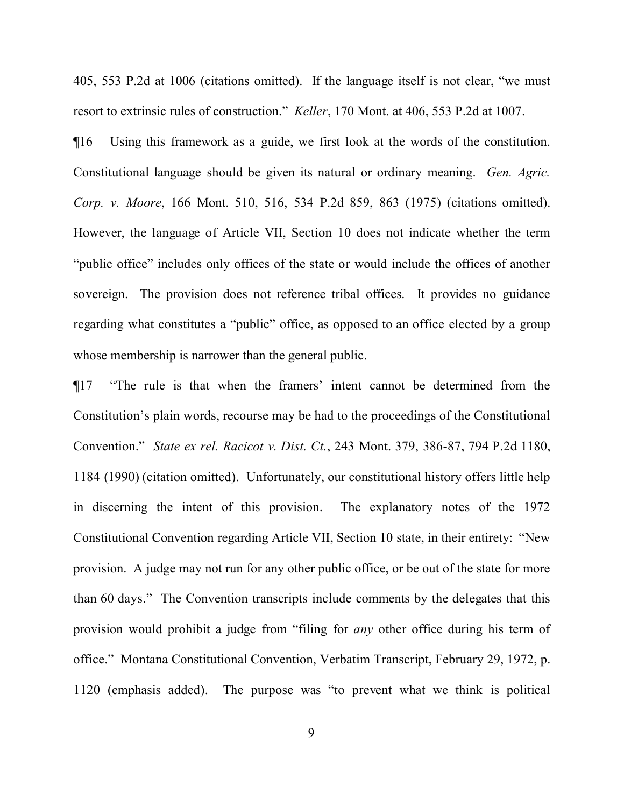405, 553 P.2d at 1006 (citations omitted). If the language itself is not clear, "we must resort to extrinsic rules of construction." *Keller*, 170 Mont. at 406, 553 P.2d at 1007.

¶16 Using this framework as a guide, we first look at the words of the constitution. Constitutional language should be given its natural or ordinary meaning. *Gen. Agric. Corp. v. Moore*, 166 Mont. 510, 516, 534 P.2d 859, 863 (1975) (citations omitted). However, the language of Article VII, Section 10 does not indicate whether the term "public office" includes only offices of the state or would include the offices of another sovereign. The provision does not reference tribal offices. It provides no guidance regarding what constitutes a "public" office, as opposed to an office elected by a group whose membership is narrower than the general public.

¶17 "The rule is that when the framers' intent cannot be determined from the Constitution's plain words, recourse may be had to the proceedings of the Constitutional Convention." *State ex rel. Racicot v. Dist. Ct.*, 243 Mont. 379, 386-87, 794 P.2d 1180, 1184 (1990) (citation omitted). Unfortunately, our constitutional history offers little help in discerning the intent of this provision. The explanatory notes of the 1972 Constitutional Convention regarding Article VII, Section 10 state, in their entirety: "New provision. A judge may not run for any other public office, or be out of the state for more than 60 days." The Convention transcripts include comments by the delegates that this provision would prohibit a judge from "filing for *any* other office during his term of office." Montana Constitutional Convention, Verbatim Transcript, February 29, 1972, p. 1120 (emphasis added). The purpose was "to prevent what we think is political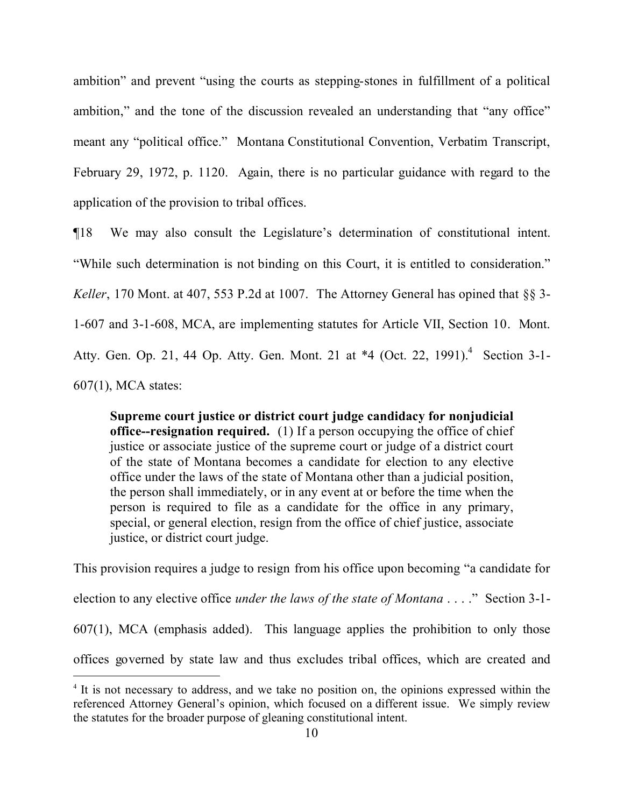ambition" and prevent "using the courts as stepping-stones in fulfillment of a political ambition," and the tone of the discussion revealed an understanding that "any office" meant any "political office." Montana Constitutional Convention, Verbatim Transcript, February 29, 1972, p. 1120. Again, there is no particular guidance with regard to the application of the provision to tribal offices.

¶18 We may also consult the Legislature's determination of constitutional intent. "While such determination is not binding on this Court, it is entitled to consideration." *Keller*, 170 Mont. at 407, 553 P.2d at 1007. The Attorney General has opined that §§ 3- 1-607 and 3-1-608, MCA, are implementing statutes for Article VII, Section 10. Mont. Atty. Gen. Op. 21, [4](#page-9-0)4 Op. Atty. Gen. Mont. 21 at \*4 (Oct. 22, 1991).<sup>4</sup> Section 3-1-607(1), MCA states:

**Supreme court justice or district court judge candidacy for nonjudicial office--resignation required.** (1) If a person occupying the office of chief justice or associate justice of the supreme court or judge of a district court of the state of Montana becomes a candidate for election to any elective office under the laws of the state of Montana other than a judicial position, the person shall immediately, or in any event at or before the time when the person is required to file as a candidate for the office in any primary, special, or general election, resign from the office of chief justice, associate justice, or district court judge.

This provision requires a judge to resign from his office upon becoming "a candidate for election to any elective office *under the laws of the state of Montana* . . . ." Section 3-1- 607(1), MCA (emphasis added). This language applies the prohibition to only those offices governed by state law and thus excludes tribal offices, which are created and

 $\overline{a}$ 

<span id="page-9-0"></span><sup>&</sup>lt;sup>4</sup> It is not necessary to address, and we take no position on, the opinions expressed within the referenced Attorney General's opinion, which focused on a different issue. We simply review the statutes for the broader purpose of gleaning constitutional intent.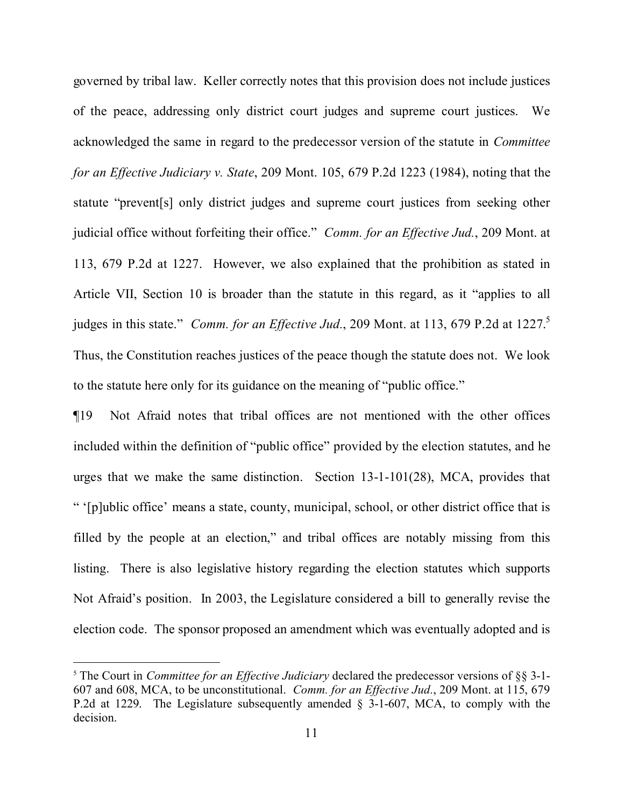governed by tribal law. Keller correctly notes that this provision does not include justices of the peace, addressing only district court judges and supreme court justices. We acknowledged the same in regard to the predecessor version of the statute in *Committee for an Effective Judiciary v. State*, 209 Mont. 105, 679 P.2d 1223 (1984), noting that the statute "prevent[s] only district judges and supreme court justices from seeking other judicial office without forfeiting their office." *Comm. for an Effective Jud.*, 209 Mont. at 113, 679 P.2d at 1227. However, we also explained that the prohibition as stated in Article VII, Section 10 is broader than the statute in this regard, as it "applies to all judges in this state." *Comm. for an Effective Jud.*, 209 Mont. at 113, 679 P.2d at 1227. [5](#page-10-0) Thus, the Constitution reaches justices of the peace though the statute does not. We look to the statute here only for its guidance on the meaning of "public office."

¶19 Not Afraid notes that tribal offices are not mentioned with the other offices included within the definition of "public office" provided by the election statutes, and he urges that we make the same distinction. Section 13-1-101(28), MCA, provides that " '[p]ublic office' means a state, county, municipal, school, or other district office that is filled by the people at an election," and tribal offices are notably missing from this listing. There is also legislative history regarding the election statutes which supports Not Afraid's position. In 2003, the Legislature considered a bill to generally revise the election code. The sponsor proposed an amendment which was eventually adopted and is

 $\overline{a}$ 

<span id="page-10-0"></span><sup>5</sup> The Court in *Committee for an Effective Judiciary* declared the predecessor versions of §§ 3-1- 607 and 608, MCA, to be unconstitutional. *Comm. for an Effective Jud.*, 209 Mont. at 115, 679 P.2d at 1229. The Legislature subsequently amended § 3-1-607, MCA, to comply with the decision.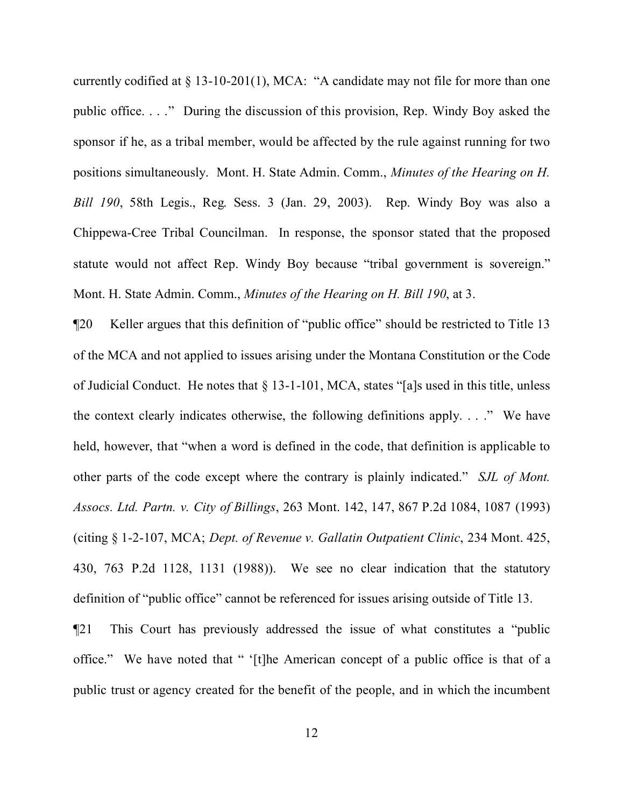currently codified at § 13-10-201(1), MCA: "A candidate may not file for more than one public office. . . ." During the discussion of this provision, Rep. Windy Boy asked the sponsor if he, as a tribal member, would be affected by the rule against running for two positions simultaneously. Mont. H. State Admin. Comm., *Minutes of the Hearing on H. Bill 190*, 58th Legis., Reg. Sess. 3 (Jan. 29, 2003). Rep. Windy Boy was also a Chippewa-Cree Tribal Councilman. In response, the sponsor stated that the proposed statute would not affect Rep. Windy Boy because "tribal government is sovereign." Mont. H. State Admin. Comm., *Minutes of the Hearing on H. Bill 190*, at 3.

¶20 Keller argues that this definition of "public office" should be restricted to Title 13 of the MCA and not applied to issues arising under the Montana Constitution or the Code of Judicial Conduct. He notes that § 13-1-101, MCA, states "[a]s used in this title, unless the context clearly indicates otherwise, the following definitions apply. . . ." We have held, however, that "when a word is defined in the code, that definition is applicable to other parts of the code except where the contrary is plainly indicated." *SJL of Mont. Assocs. Ltd. Partn. v. City of Billings*, 263 Mont. 142, 147, 867 P.2d 1084, 1087 (1993) (citing § 1-2-107, MCA; *Dept. of Revenue v. Gallatin Outpatient Clinic*, 234 Mont. 425, 430, 763 P.2d 1128, 1131 (1988)). We see no clear indication that the statutory definition of "public office" cannot be referenced for issues arising outside of Title 13.

¶21 This Court has previously addressed the issue of what constitutes a "public office." We have noted that " '[t]he American concept of a public office is that of a public trust or agency created for the benefit of the people, and in which the incumbent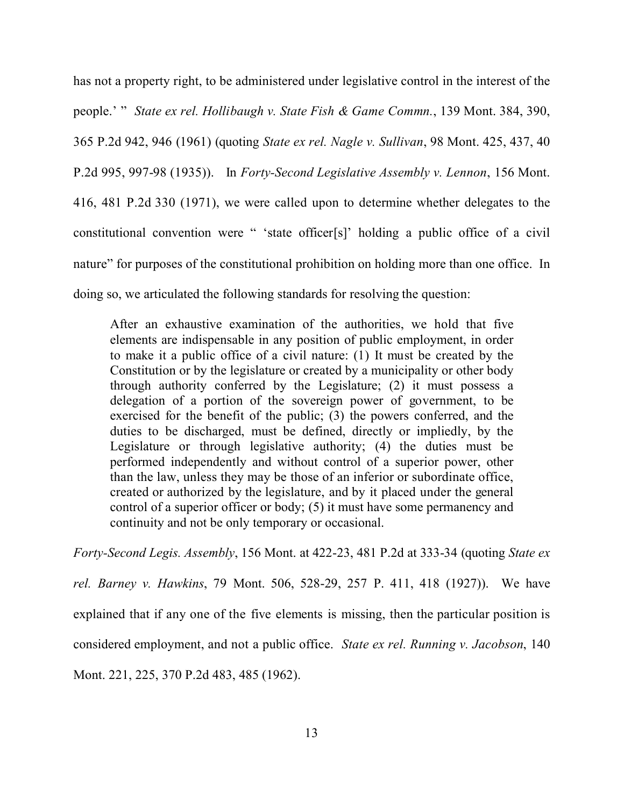has not a property right, to be administered under legislative control in the interest of the people.' " *State ex rel. Hollibaugh v. State Fish & Game Commn.*, 139 Mont. 384, 390, 365 P.2d 942, 946 (1961) (quoting *State ex rel. Nagle v. Sullivan*, 98 Mont. 425, 437, 40 P.2d 995, 997-98 (1935)). In *Forty-Second Legislative Assembly v. Lennon*, 156 Mont. 416, 481 P.2d 330 (1971), we were called upon to determine whether delegates to the constitutional convention were " 'state officer[s]' holding a public office of a civil nature" for purposes of the constitutional prohibition on holding more than one office. In doing so, we articulated the following standards for resolving the question:

After an exhaustive examination of the authorities, we hold that five elements are indispensable in any position of public employment, in order to make it a public office of a civil nature: (1) It must be created by the Constitution or by the legislature or created by a municipality or other body through authority conferred by the Legislature; (2) it must possess a delegation of a portion of the sovereign power of government, to be exercised for the benefit of the public; (3) the powers conferred, and the duties to be discharged, must be defined, directly or impliedly, by the Legislature or through legislative authority; (4) the duties must be performed independently and without control of a superior power, other than the law, unless they may be those of an inferior or subordinate office, created or authorized by the legislature, and by it placed under the general control of a superior officer or body; (5) it must have some permanency and continuity and not be only temporary or occasional.

*Forty-Second Legis. Assembly*, 156 Mont. at 422-23, 481 P.2d at 333-34 (quoting *State ex rel. Barney v. Hawkins*, 79 Mont. 506, 528-29, 257 P. 411, 418 (1927)). We have explained that if any one of the five elements is missing, then the particular position is considered employment, and not a public office. *State ex rel. Running v. Jacobson*, 140 Mont. 221, 225, 370 P.2d 483, 485 (1962).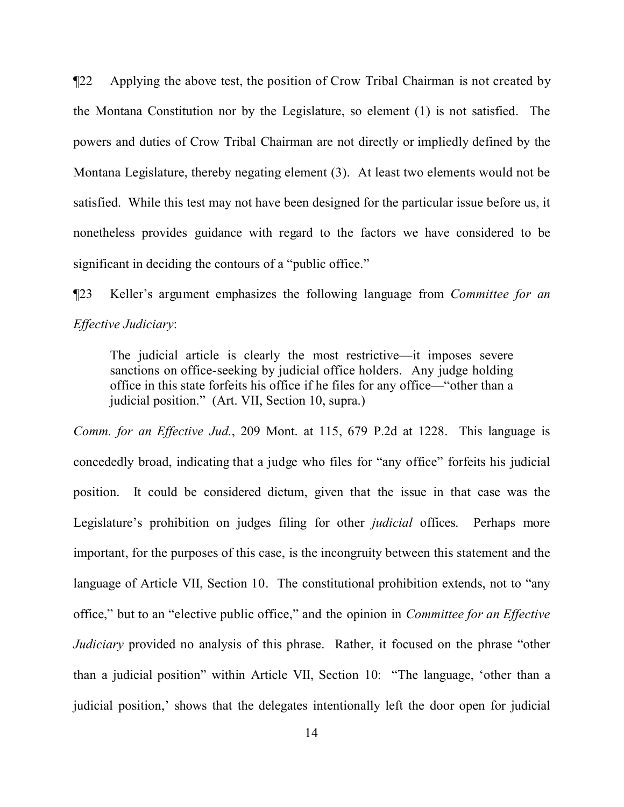¶22 Applying the above test, the position of Crow Tribal Chairman is not created by the Montana Constitution nor by the Legislature, so element (1) is not satisfied. The powers and duties of Crow Tribal Chairman are not directly or impliedly defined by the Montana Legislature, thereby negating element (3). At least two elements would not be satisfied. While this test may not have been designed for the particular issue before us, it nonetheless provides guidance with regard to the factors we have considered to be significant in deciding the contours of a "public office."

¶23 Keller's argument emphasizes the following language from *Committee for an Effective Judiciary*:

The judicial article is clearly the most restrictive—it imposes severe sanctions on office-seeking by judicial office holders. Any judge holding office in this state forfeits his office if he files for any office—"other than a judicial position." (Art. VII, Section 10, supra.)

*Comm. for an Effective Jud.*, 209 Mont. at 115, 679 P.2d at 1228. This language is concededly broad, indicating that a judge who files for "any office" forfeits his judicial position. It could be considered dictum, given that the issue in that case was the Legislature's prohibition on judges filing for other *judicial* offices. Perhaps more important, for the purposes of this case, is the incongruity between this statement and the language of Article VII, Section 10. The constitutional prohibition extends, not to "any office," but to an "elective public office," and the opinion in *Committee for an Effective Judiciary* provided no analysis of this phrase. Rather, it focused on the phrase "other than a judicial position" within Article VII, Section 10: "The language, 'other than a judicial position,' shows that the delegates intentionally left the door open for judicial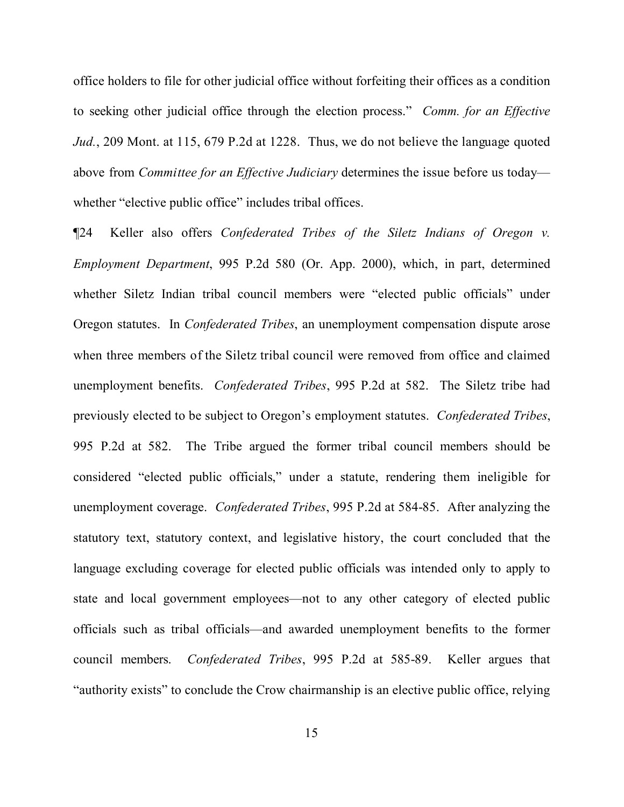office holders to file for other judicial office without forfeiting their offices as a condition to seeking other judicial office through the election process." *Comm. for an Effective Jud.*, 209 Mont. at 115, 679 P.2d at 1228. Thus, we do not believe the language quoted above from *Committee for an Effective Judiciary* determines the issue before us today whether "elective public office" includes tribal offices.

¶24 Keller also offers *Confederated Tribes of the Siletz Indians of Oregon v. Employment Department*, 995 P.2d 580 (Or. App. 2000), which, in part, determined whether Siletz Indian tribal council members were "elected public officials" under Oregon statutes. In *Confederated Tribes*, an unemployment compensation dispute arose when three members of the Siletz tribal council were removed from office and claimed unemployment benefits. *Confederated Tribes*, 995 P.2d at 582. The Siletz tribe had previously elected to be subject to Oregon's employment statutes. *Confederated Tribes*, 995 P.2d at 582. The Tribe argued the former tribal council members should be considered "elected public officials," under a statute, rendering them ineligible for unemployment coverage. *Confederated Tribes*, 995 P.2d at 584-85. After analyzing the statutory text, statutory context, and legislative history, the court concluded that the language excluding coverage for elected public officials was intended only to apply to state and local government employees—not to any other category of elected public officials such as tribal officials—and awarded unemployment benefits to the former council members. *Confederated Tribes*, 995 P.2d at 585-89. Keller argues that "authority exists" to conclude the Crow chairmanship is an elective public office, relying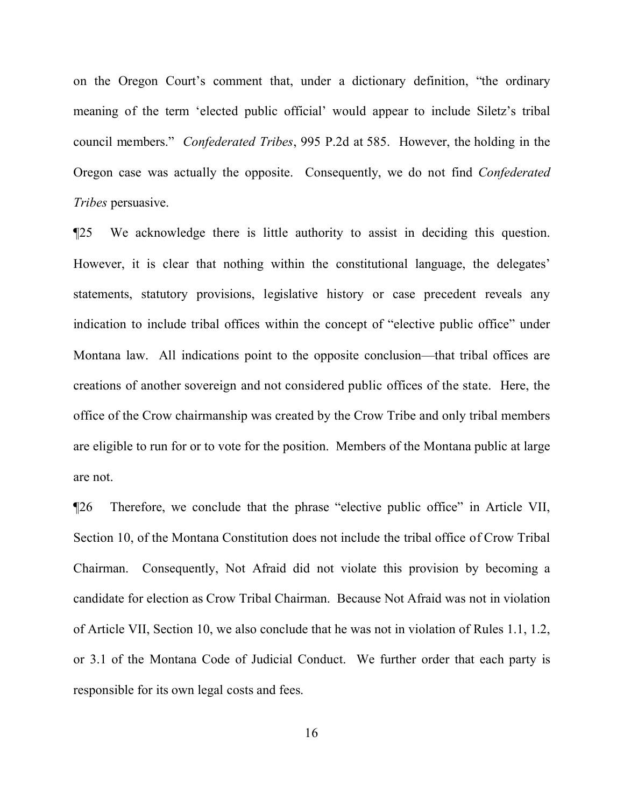on the Oregon Court's comment that, under a dictionary definition, "the ordinary meaning of the term 'elected public official' would appear to include Siletz's tribal council members." *Confederated Tribes*, 995 P.2d at 585. However, the holding in the Oregon case was actually the opposite. Consequently, we do not find *Confederated Tribes* persuasive.

¶25 We acknowledge there is little authority to assist in deciding this question. However, it is clear that nothing within the constitutional language, the delegates' statements, statutory provisions, legislative history or case precedent reveals any indication to include tribal offices within the concept of "elective public office" under Montana law. All indications point to the opposite conclusion—that tribal offices are creations of another sovereign and not considered public offices of the state. Here, the office of the Crow chairmanship was created by the Crow Tribe and only tribal members are eligible to run for or to vote for the position. Members of the Montana public at large are not.

¶26 Therefore, we conclude that the phrase "elective public office" in Article VII, Section 10, of the Montana Constitution does not include the tribal office of Crow Tribal Chairman. Consequently, Not Afraid did not violate this provision by becoming a candidate for election as Crow Tribal Chairman. Because Not Afraid was not in violation of Article VII, Section 10, we also conclude that he was not in violation of Rules 1.1, 1.2, or 3.1 of the Montana Code of Judicial Conduct. We further order that each party is responsible for its own legal costs and fees.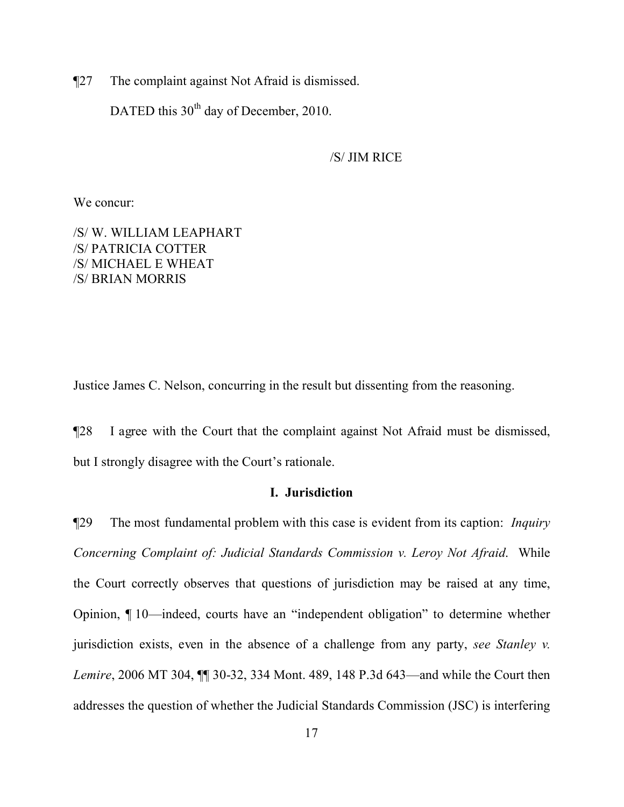¶27 The complaint against Not Afraid is dismissed.

DATED this  $30<sup>th</sup>$  day of December, 2010.

/S/ JIM RICE

We concur:

/S/ W. WILLIAM LEAPHART /S/ PATRICIA COTTER /S/ MICHAEL E WHEAT /S/ BRIAN MORRIS

Justice James C. Nelson, concurring in the result but dissenting from the reasoning.

¶28 I agree with the Court that the complaint against Not Afraid must be dismissed, but I strongly disagree with the Court's rationale.

## **I. Jurisdiction**

¶29 The most fundamental problem with this case is evident from its caption: *Inquiry Concerning Complaint of: Judicial Standards Commission v. Leroy Not Afraid*. While the Court correctly observes that questions of jurisdiction may be raised at any time, Opinion, ¶ 10—indeed, courts have an "independent obligation" to determine whether jurisdiction exists, even in the absence of a challenge from any party, *see Stanley v. Lemire*, 2006 MT 304, ¶¶ 30-32, 334 Mont. 489, 148 P.3d 643—and while the Court then addresses the question of whether the Judicial Standards Commission (JSC) is interfering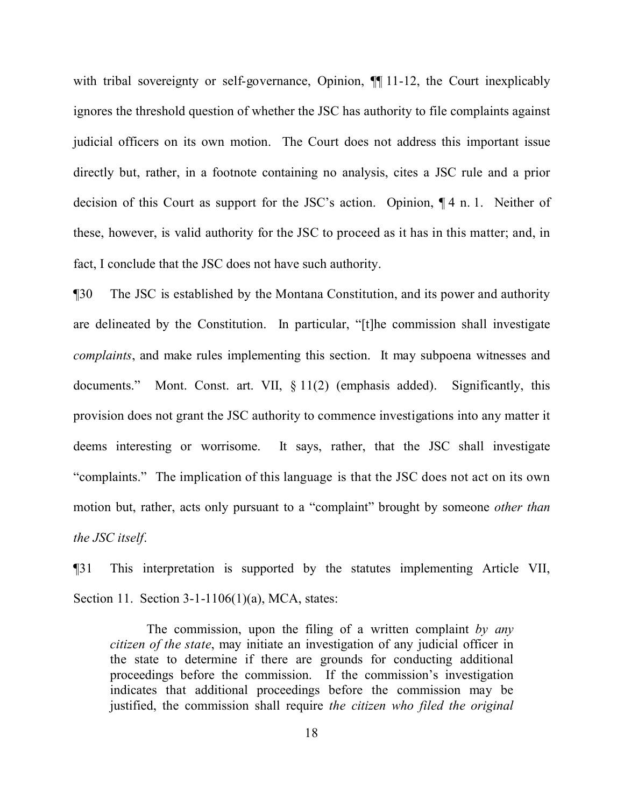with tribal sovereignty or self-governance, Opinion,  $\P$  11-12, the Court inexplicably ignores the threshold question of whether the JSC has authority to file complaints against judicial officers on its own motion. The Court does not address this important issue directly but, rather, in a footnote containing no analysis, cites a JSC rule and a prior decision of this Court as support for the JSC's action. Opinion, ¶ 4 n. 1. Neither of these, however, is valid authority for the JSC to proceed as it has in this matter; and, in fact, I conclude that the JSC does not have such authority.

¶30 The JSC is established by the Montana Constitution, and its power and authority are delineated by the Constitution. In particular, "[t]he commission shall investigate *complaints*, and make rules implementing this section. It may subpoena witnesses and documents." Mont. Const. art. VII, § 11(2) (emphasis added). Significantly, this provision does not grant the JSC authority to commence investigations into any matter it deems interesting or worrisome. It says, rather, that the JSC shall investigate "complaints." The implication of this language is that the JSC does not act on its own motion but, rather, acts only pursuant to a "complaint" brought by someone *other than the JSC itself*.

¶31 This interpretation is supported by the statutes implementing Article VII, Section 11. Section 3-1-1106(1)(a), MCA, states:

The commission, upon the filing of a written complaint *by any citizen of the state*, may initiate an investigation of any judicial officer in the state to determine if there are grounds for conducting additional proceedings before the commission. If the commission's investigation indicates that additional proceedings before the commission may be justified, the commission shall require *the citizen who filed the original*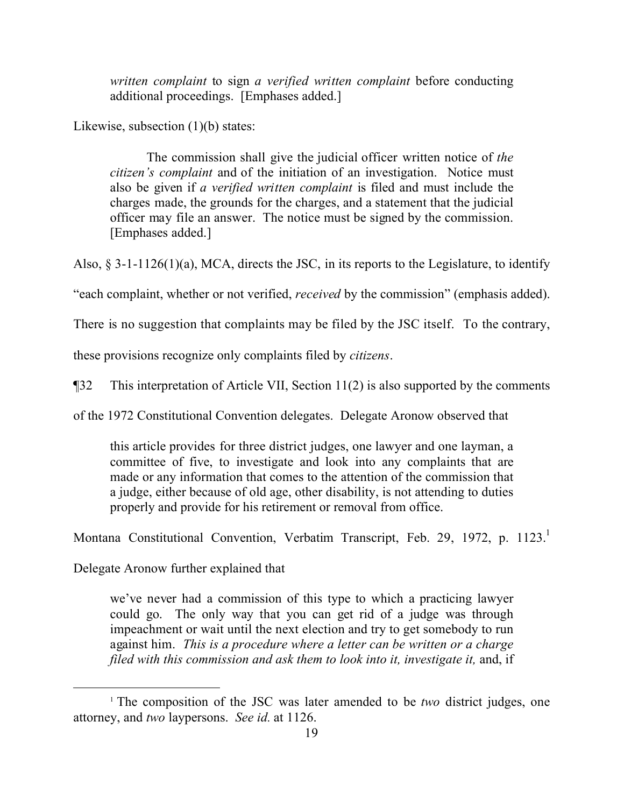*written complaint* to sign *a verified written complaint* before conducting additional proceedings. [Emphases added.]

Likewise, subsection (1)(b) states:

The commission shall give the judicial officer written notice of *the citizen's complaint* and of the initiation of an investigation. Notice must also be given if *a verified written complaint* is filed and must include the charges made, the grounds for the charges, and a statement that the judicial officer may file an answer. The notice must be signed by the commission. [Emphases added.]

Also, § 3-1-1126(1)(a), MCA, directs the JSC, in its reports to the Legislature, to identify

"each complaint, whether or not verified, *received* by the commission" (emphasis added).

There is no suggestion that complaints may be filed by the JSC itself. To the contrary,

these provisions recognize only complaints filed by *citizens*.

¶32 This interpretation of Article VII, Section 11(2) is also supported by the comments

of the 1972 Constitutional Convention delegates. Delegate Aronow observed that

this article provides for three district judges, one lawyer and one layman, a committee of five, to investigate and look into any complaints that are made or any information that comes to the attention of the commission that a judge, either because of old age, other disability, is not attending to duties properly and provide for his retirement or removal from office.

Montana Constitutional Convention, Verbatim Transcript, Feb. 29, [1](#page-18-0)972, p. 1123.

Delegate Aronow further explained that

we've never had a commission of this type to which a practicing lawyer could go. The only way that you can get rid of a judge was through impeachment or wait until the next election and try to get somebody to run against him. *This is a procedure where a letter can be written or a charge filed with this commission and ask them to look into it, investigate it,* and, if

<span id="page-18-0"></span><sup>&</sup>lt;sup>1</sup> The composition of the JSC was later amended to be *two* district judges, one attorney, and *two* laypersons. *See id.* at 1126.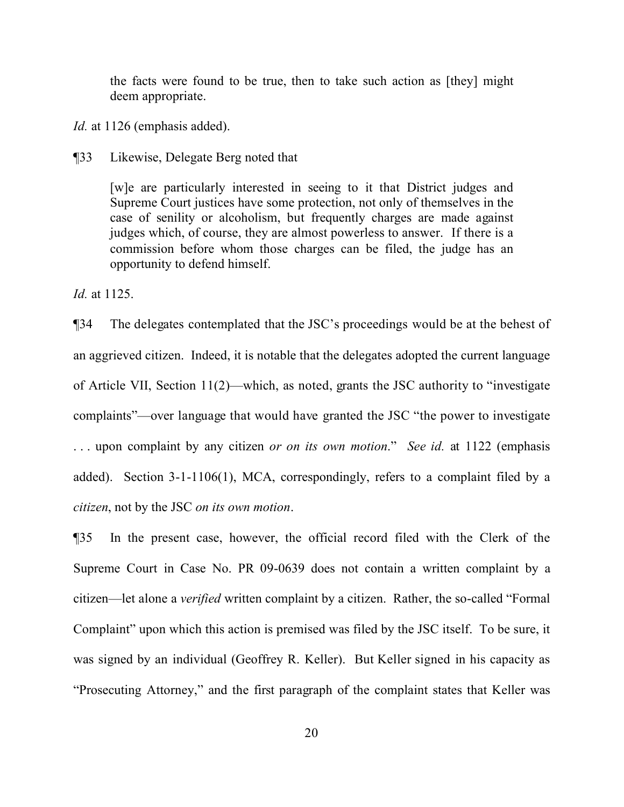the facts were found to be true, then to take such action as [they] might deem appropriate.

*Id.* at 1126 (emphasis added).

¶33 Likewise, Delegate Berg noted that

[w]e are particularly interested in seeing to it that District judges and Supreme Court justices have some protection, not only of themselves in the case of senility or alcoholism, but frequently charges are made against judges which, of course, they are almost powerless to answer. If there is a commission before whom those charges can be filed, the judge has an opportunity to defend himself.

*Id.* at 1125.

¶34 The delegates contemplated that the JSC's proceedings would be at the behest of an aggrieved citizen. Indeed, it is notable that the delegates adopted the current language of Article VII, Section 11(2)—which, as noted, grants the JSC authority to "investigate complaints"—over language that would have granted the JSC "the power to investigate . . . upon complaint by any citizen *or on its own motion*." *See id.* at 1122 (emphasis added). Section 3-1-1106(1), MCA, correspondingly, refers to a complaint filed by a *citizen*, not by the JSC *on its own motion*.

¶35 In the present case, however, the official record filed with the Clerk of the Supreme Court in Case No. PR 09-0639 does not contain a written complaint by a citizen—let alone a *verified* written complaint by a citizen. Rather, the so-called "Formal Complaint" upon which this action is premised was filed by the JSC itself. To be sure, it was signed by an individual (Geoffrey R. Keller). But Keller signed in his capacity as "Prosecuting Attorney," and the first paragraph of the complaint states that Keller was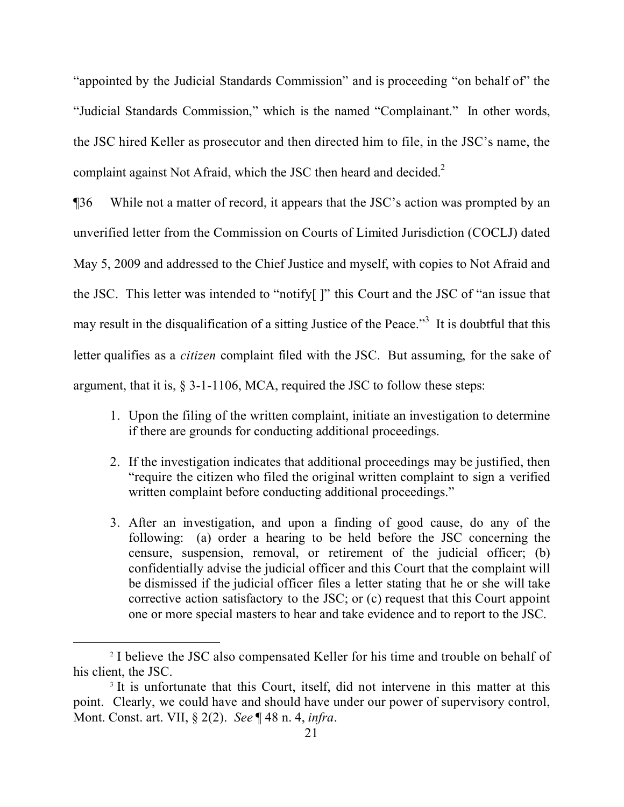"appointed by the Judicial Standards Commission" and is proceeding "on behalf of" the "Judicial Standards Commission," which is the named "Complainant." In other words, the JSC hired Keller as prosecutor and then directed him to file, in the JSC's name, the complaint against Not Afraid, which the JSC then heard and decided.<sup>[2](#page-20-0)</sup>

¶36 While not a matter of record, it appears that the JSC's action was prompted by an unverified letter from the Commission on Courts of Limited Jurisdiction (COCLJ) dated May 5, 2009 and addressed to the Chief Justice and myself, with copies to Not Afraid and the JSC. This letter was intended to "notify[ ]" this Court and the JSC of "an issue that may result in the disqualification of a sitting Justice of the Peace.<sup>[3](#page-20-1)</sup> It is doubtful that this letter qualifies as a *citizen* complaint filed with the JSC. But assuming, for the sake of argument, that it is, § 3-1-1106, MCA, required the JSC to follow these steps:

- 1. Upon the filing of the written complaint, initiate an investigation to determine if there are grounds for conducting additional proceedings.
- 2. If the investigation indicates that additional proceedings may be justified, then "require the citizen who filed the original written complaint to sign a verified written complaint before conducting additional proceedings."
- 3. After an investigation, and upon a finding of good cause, do any of the following: (a) order a hearing to be held before the JSC concerning the censure, suspension, removal, or retirement of the judicial officer; (b) confidentially advise the judicial officer and this Court that the complaint will be dismissed if the judicial officer files a letter stating that he or she will take corrective action satisfactory to the JSC; or (c) request that this Court appoint one or more special masters to hear and take evidence and to report to the JSC.

<span id="page-20-0"></span><sup>&</sup>lt;sup>2</sup> I believe the JSC also compensated Keller for his time and trouble on behalf of his client, the JSC.

<span id="page-20-1"></span><sup>&</sup>lt;sup>3</sup> It is unfortunate that this Court, itself, did not intervene in this matter at this point. Clearly, we could have and should have under our power of supervisory control, Mont. Const. art. VII, § 2(2). *See* ¶ 48 n. 4, *infra*.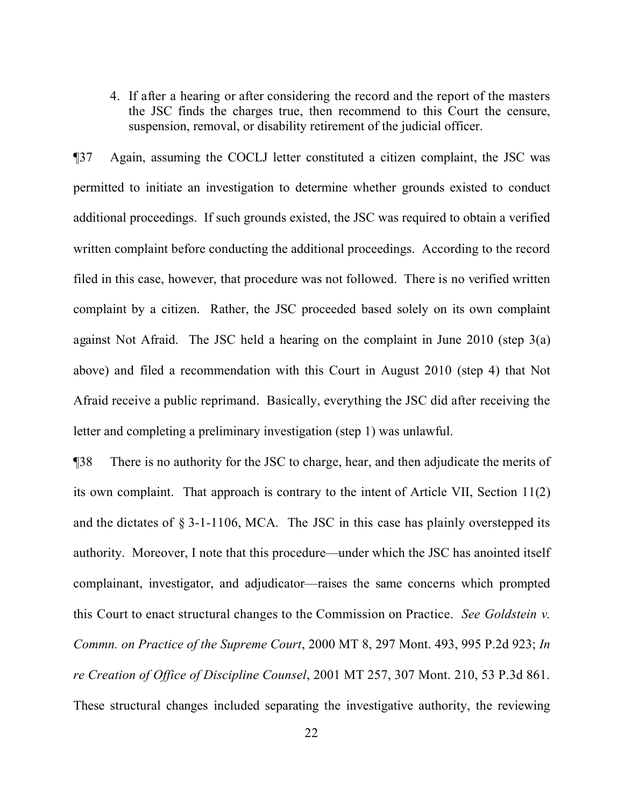4. If after a hearing or after considering the record and the report of the masters the JSC finds the charges true, then recommend to this Court the censure, suspension, removal, or disability retirement of the judicial officer.

¶37 Again, assuming the COCLJ letter constituted a citizen complaint, the JSC was permitted to initiate an investigation to determine whether grounds existed to conduct additional proceedings. If such grounds existed, the JSC was required to obtain a verified written complaint before conducting the additional proceedings. According to the record filed in this case, however, that procedure was not followed. There is no verified written complaint by a citizen. Rather, the JSC proceeded based solely on its own complaint against Not Afraid. The JSC held a hearing on the complaint in June 2010 (step 3(a) above) and filed a recommendation with this Court in August 2010 (step 4) that Not Afraid receive a public reprimand. Basically, everything the JSC did after receiving the letter and completing a preliminary investigation (step 1) was unlawful.

¶38 There is no authority for the JSC to charge, hear, and then adjudicate the merits of its own complaint. That approach is contrary to the intent of Article VII, Section 11(2) and the dictates of  $\S 3$ -1-1106, MCA. The JSC in this case has plainly overstepped its authority. Moreover, I note that this procedure—under which the JSC has anointed itself complainant, investigator, and adjudicator—raises the same concerns which prompted this Court to enact structural changes to the Commission on Practice. *See Goldstein v. Commn. on Practice of the Supreme Court*, 2000 MT 8, 297 Mont. 493, 995 P.2d 923; *In re Creation of Office of Discipline Counsel*, 2001 MT 257, 307 Mont. 210, 53 P.3d 861. These structural changes included separating the investigative authority, the reviewing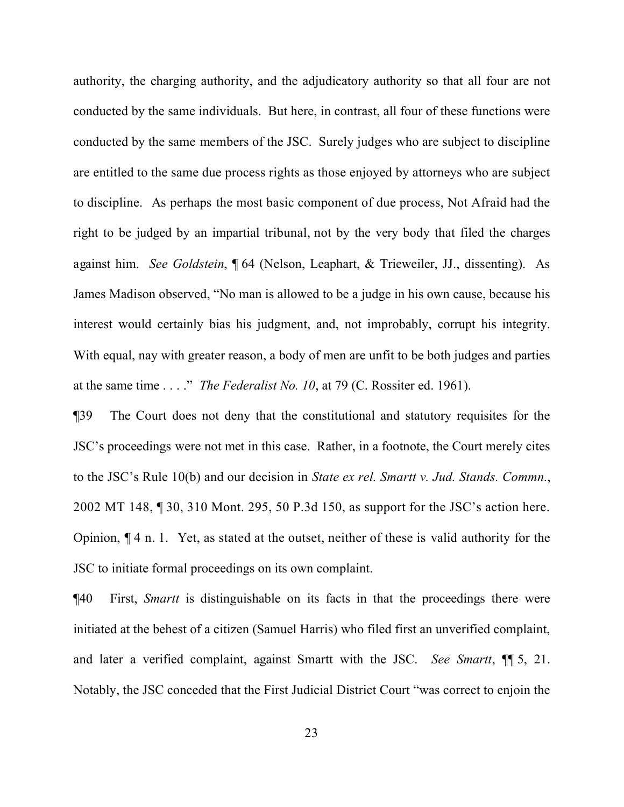authority, the charging authority, and the adjudicatory authority so that all four are not conducted by the same individuals. But here, in contrast, all four of these functions were conducted by the same members of the JSC. Surely judges who are subject to discipline are entitled to the same due process rights as those enjoyed by attorneys who are subject to discipline. As perhaps the most basic component of due process, Not Afraid had the right to be judged by an impartial tribunal, not by the very body that filed the charges against him. *See Goldstein*, ¶ 64 (Nelson, Leaphart, & Trieweiler, JJ., dissenting). As James Madison observed, "No man is allowed to be a judge in his own cause, because his interest would certainly bias his judgment, and, not improbably, corrupt his integrity. With equal, nay with greater reason, a body of men are unfit to be both judges and parties at the same time . . . ." *The Federalist No. 10*, at 79 (C. Rossiter ed. 1961).

¶39 The Court does not deny that the constitutional and statutory requisites for the JSC's proceedings were not met in this case. Rather, in a footnote, the Court merely cites to the JSC's Rule 10(b) and our decision in *State ex rel. Smartt v. Jud. Stands. Commn.*, 2002 MT 148, ¶ 30, 310 Mont. 295, 50 P.3d 150, as support for the JSC's action here. Opinion, ¶ 4 n. 1. Yet, as stated at the outset, neither of these is valid authority for the JSC to initiate formal proceedings on its own complaint.

¶40 First, *Smartt* is distinguishable on its facts in that the proceedings there were initiated at the behest of a citizen (Samuel Harris) who filed first an unverified complaint, and later a verified complaint, against Smartt with the JSC. *See Smartt*, ¶¶ 5, 21. Notably, the JSC conceded that the First Judicial District Court "was correct to enjoin the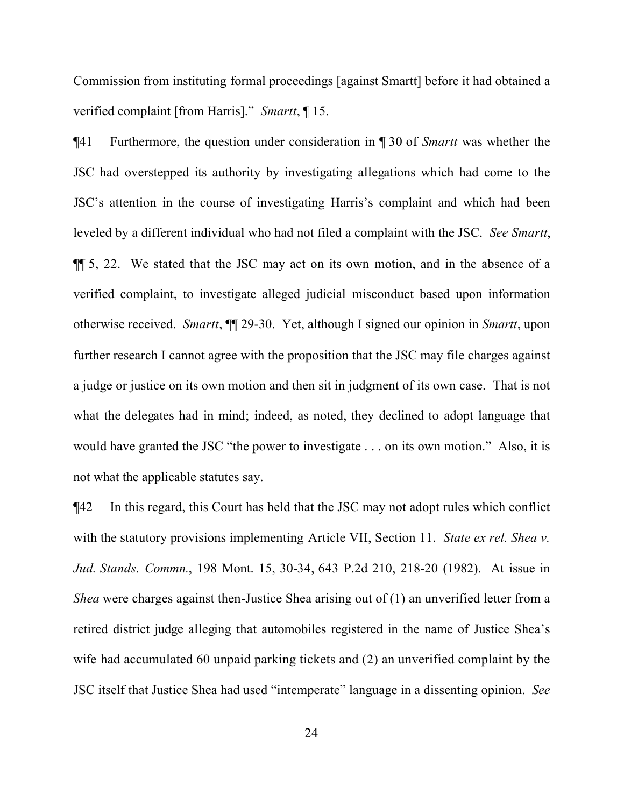Commission from instituting formal proceedings [against Smartt] before it had obtained a verified complaint [from Harris]." *Smartt*, ¶ 15.

¶41 Furthermore, the question under consideration in ¶ 30 of *Smartt* was whether the JSC had overstepped its authority by investigating allegations which had come to the JSC's attention in the course of investigating Harris's complaint and which had been leveled by a different individual who had not filed a complaint with the JSC. *See Smartt*, ¶¶ 5, 22. We stated that the JSC may act on its own motion, and in the absence of a verified complaint, to investigate alleged judicial misconduct based upon information otherwise received. *Smartt*, ¶¶ 29-30. Yet, although I signed our opinion in *Smartt*, upon further research I cannot agree with the proposition that the JSC may file charges against a judge or justice on its own motion and then sit in judgment of its own case. That is not what the delegates had in mind; indeed, as noted, they declined to adopt language that would have granted the JSC "the power to investigate . . . on its own motion." Also, it is not what the applicable statutes say.

¶42 In this regard, this Court has held that the JSC may not adopt rules which conflict with the statutory provisions implementing Article VII, Section 11. *State ex rel. Shea v. Jud. Stands. Commn.*, 198 Mont. 15, 30-34, 643 P.2d 210, 218-20 (1982). At issue in *Shea* were charges against then-Justice Shea arising out of (1) an unverified letter from a retired district judge alleging that automobiles registered in the name of Justice Shea's wife had accumulated 60 unpaid parking tickets and (2) an unverified complaint by the JSC itself that Justice Shea had used "intemperate" language in a dissenting opinion. *See*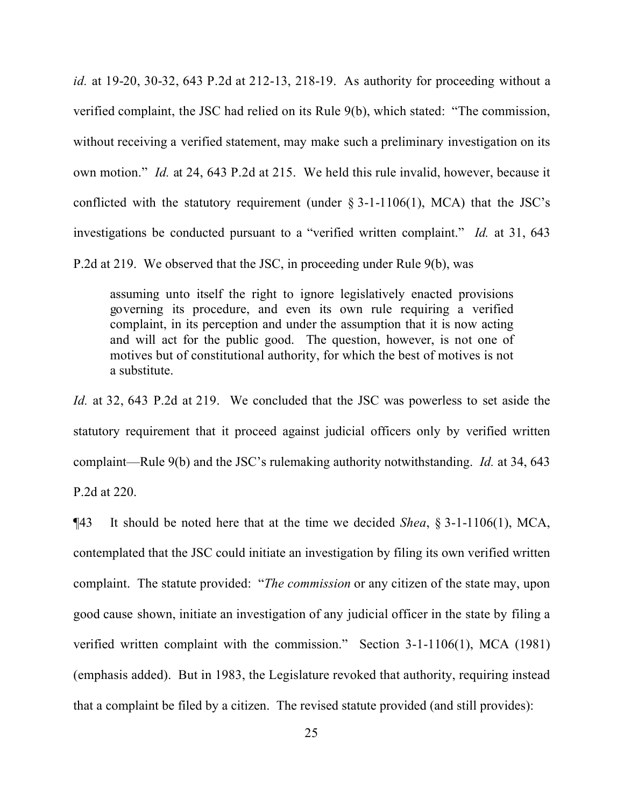*id.* at 19-20, 30-32, 643 P.2d at 212-13, 218-19. As authority for proceeding without a verified complaint, the JSC had relied on its Rule 9(b), which stated: "The commission, without receiving a verified statement, may make such a preliminary investigation on its own motion." *Id.* at 24, 643 P.2d at 215. We held this rule invalid, however, because it conflicted with the statutory requirement (under  $\S 3$ -1-1106(1), MCA) that the JSC's investigations be conducted pursuant to a "verified written complaint." *Id.* at 31, 643

P.2d at 219. We observed that the JSC, in proceeding under Rule 9(b), was

assuming unto itself the right to ignore legislatively enacted provisions governing its procedure, and even its own rule requiring a verified complaint, in its perception and under the assumption that it is now acting and will act for the public good. The question, however, is not one of motives but of constitutional authority, for which the best of motives is not a substitute.

*Id.* at 32, 643 P.2d at 219. We concluded that the JSC was powerless to set aside the statutory requirement that it proceed against judicial officers only by verified written complaint—Rule 9(b) and the JSC's rulemaking authority notwithstanding. *Id.* at 34, 643 P.2d at 220.

¶43 It should be noted here that at the time we decided *Shea*, § 3-1-1106(1), MCA, contemplated that the JSC could initiate an investigation by filing its own verified written complaint. The statute provided: "*The commission* or any citizen of the state may, upon good cause shown, initiate an investigation of any judicial officer in the state by filing a verified written complaint with the commission." Section 3-1-1106(1), MCA (1981) (emphasis added). But in 1983, the Legislature revoked that authority, requiring instead that a complaint be filed by a citizen. The revised statute provided (and still provides):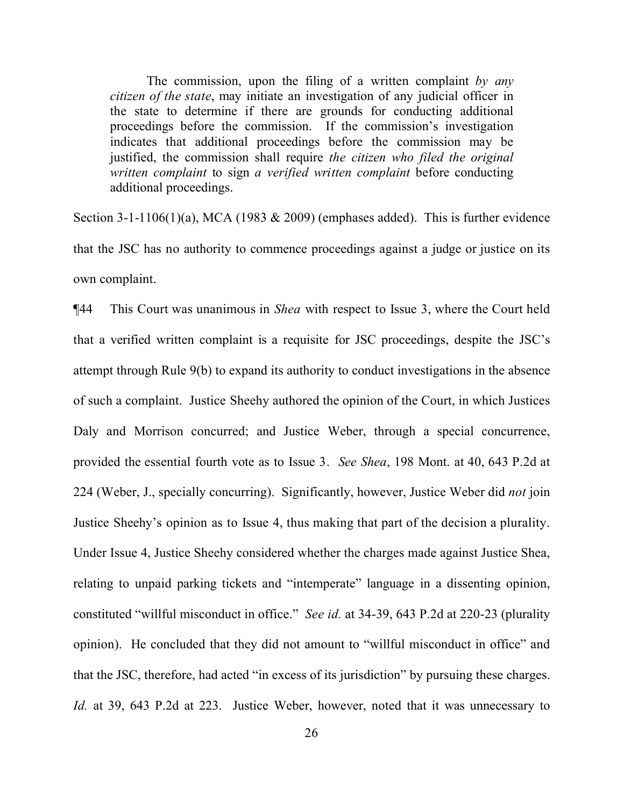The commission, upon the filing of a written complaint *by any citizen of the state*, may initiate an investigation of any judicial officer in the state to determine if there are grounds for conducting additional proceedings before the commission. If the commission's investigation indicates that additional proceedings before the commission may be justified, the commission shall require *the citizen who filed the original written complaint* to sign *a verified written complaint* before conducting additional proceedings.

Section 3-1-1106(1)(a), MCA (1983  $& 2009$ ) (emphases added). This is further evidence that the JSC has no authority to commence proceedings against a judge or justice on its own complaint.

¶44 This Court was unanimous in *Shea* with respect to Issue 3, where the Court held that a verified written complaint is a requisite for JSC proceedings, despite the JSC's attempt through Rule 9(b) to expand its authority to conduct investigations in the absence of such a complaint. Justice Sheehy authored the opinion of the Court, in which Justices Daly and Morrison concurred; and Justice Weber, through a special concurrence, provided the essential fourth vote as to Issue 3. *See Shea*, 198 Mont. at 40, 643 P.2d at 224 (Weber, J., specially concurring). Significantly, however, Justice Weber did *not* join Justice Sheehy's opinion as to Issue 4, thus making that part of the decision a plurality. Under Issue 4, Justice Sheehy considered whether the charges made against Justice Shea, relating to unpaid parking tickets and "intemperate" language in a dissenting opinion, constituted "willful misconduct in office." *See id.* at 34-39, 643 P.2d at 220-23 (plurality opinion). He concluded that they did not amount to "willful misconduct in office" and that the JSC, therefore, had acted "in excess of its jurisdiction" by pursuing these charges. *Id.* at 39, 643 P.2d at 223. Justice Weber, however, noted that it was unnecessary to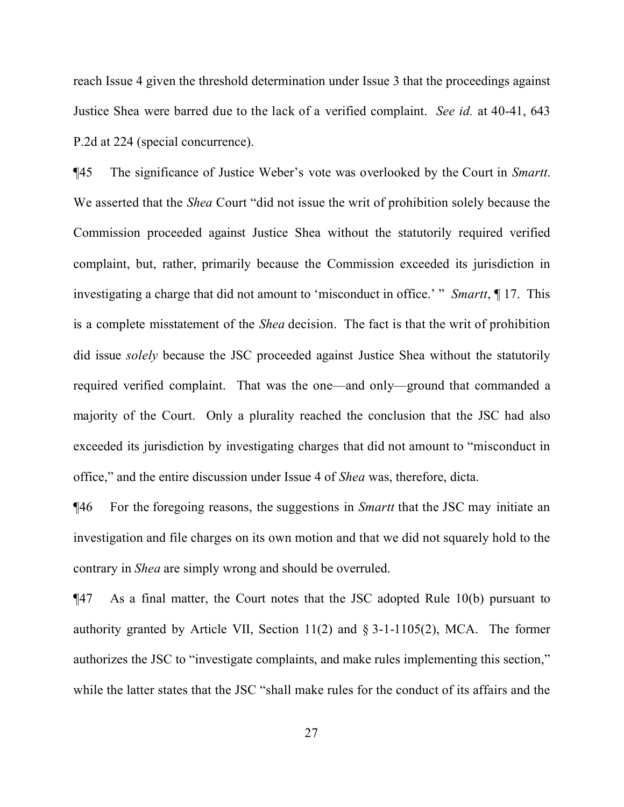reach Issue 4 given the threshold determination under Issue 3 that the proceedings against Justice Shea were barred due to the lack of a verified complaint. *See id.* at 40-41, 643 P.2d at 224 (special concurrence).

¶45 The significance of Justice Weber's vote was overlooked by the Court in *Smartt*. We asserted that the *Shea* Court "did not issue the writ of prohibition solely because the Commission proceeded against Justice Shea without the statutorily required verified complaint, but, rather, primarily because the Commission exceeded its jurisdiction in investigating a charge that did not amount to 'misconduct in office.' " *Smartt*, ¶ 17. This is a complete misstatement of the *Shea* decision. The fact is that the writ of prohibition did issue *solely* because the JSC proceeded against Justice Shea without the statutorily required verified complaint. That was the one—and only—ground that commanded a majority of the Court. Only a plurality reached the conclusion that the JSC had also exceeded its jurisdiction by investigating charges that did not amount to "misconduct in office," and the entire discussion under Issue 4 of *Shea* was, therefore, dicta.

¶46 For the foregoing reasons, the suggestions in *Smartt* that the JSC may initiate an investigation and file charges on its own motion and that we did not squarely hold to the contrary in *Shea* are simply wrong and should be overruled.

¶47 As a final matter, the Court notes that the JSC adopted Rule 10(b) pursuant to authority granted by Article VII, Section  $11(2)$  and § 3-1-1105(2), MCA. The former authorizes the JSC to "investigate complaints, and make rules implementing this section," while the latter states that the JSC "shall make rules for the conduct of its affairs and the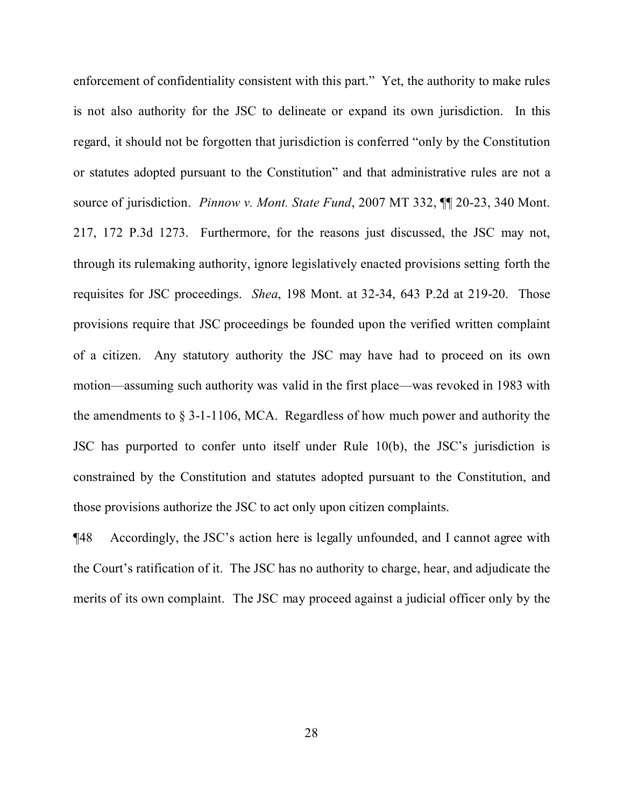enforcement of confidentiality consistent with this part." Yet, the authority to make rules is not also authority for the JSC to delineate or expand its own jurisdiction. In this regard, it should not be forgotten that jurisdiction is conferred "only by the Constitution or statutes adopted pursuant to the Constitution" and that administrative rules are not a source of jurisdiction. *Pinnow v. Mont. State Fund*, 2007 MT 332, ¶¶ 20-23, 340 Mont. 217, 172 P.3d 1273. Furthermore, for the reasons just discussed, the JSC may not, through its rulemaking authority, ignore legislatively enacted provisions setting forth the requisites for JSC proceedings. *Shea*, 198 Mont. at 32-34, 643 P.2d at 219-20. Those provisions require that JSC proceedings be founded upon the verified written complaint of a citizen. Any statutory authority the JSC may have had to proceed on its own motion—assuming such authority was valid in the first place—was revoked in 1983 with the amendments to  $\S 3$ -1-1106, MCA. Regardless of how much power and authority the JSC has purported to confer unto itself under Rule 10(b), the JSC's jurisdiction is constrained by the Constitution and statutes adopted pursuant to the Constitution, and those provisions authorize the JSC to act only upon citizen complaints.

¶48 Accordingly, the JSC's action here is legally unfounded, and I cannot agree with the Court's ratification of it. The JSC has no authority to charge, hear, and adjudicate the merits of its own complaint. The JSC may proceed against a judicial officer only by the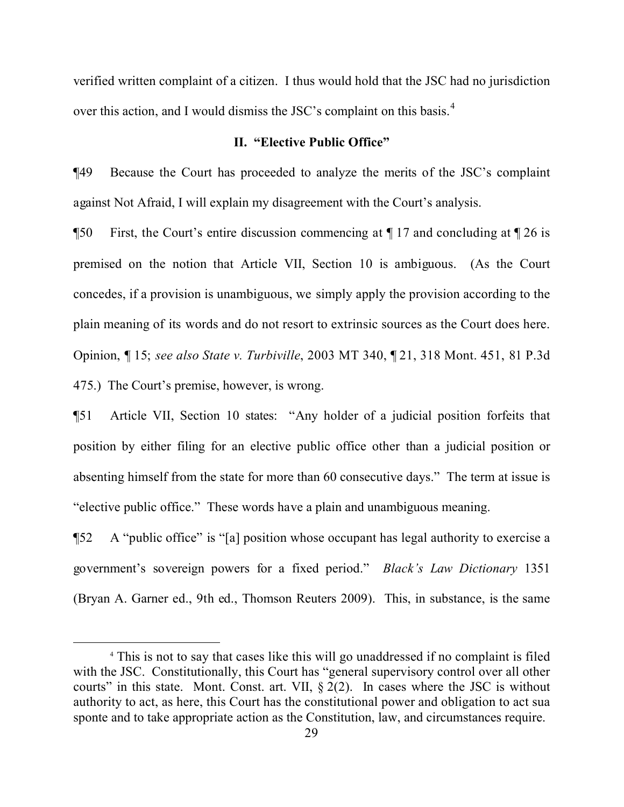verified written complaint of a citizen. I thus would hold that the JSC had no jurisdiction over this action, and I would dismiss the JSC's complaint on this basis.<sup>[4](#page-28-0)</sup>

# **II. "Elective Public Office"**

¶49 Because the Court has proceeded to analyze the merits of the JSC's complaint against Not Afraid, I will explain my disagreement with the Court's analysis.

¶50 First, the Court's entire discussion commencing at ¶ 17 and concluding at ¶ 26 is premised on the notion that Article VII, Section 10 is ambiguous. (As the Court concedes, if a provision is unambiguous, we simply apply the provision according to the plain meaning of its words and do not resort to extrinsic sources as the Court does here. Opinion, ¶ 15; *see also State v. Turbiville*, 2003 MT 340, ¶ 21, 318 Mont. 451, 81 P.3d 475.) The Court's premise, however, is wrong.

¶51 Article VII, Section 10 states: "Any holder of a judicial position forfeits that position by either filing for an elective public office other than a judicial position or absenting himself from the state for more than 60 consecutive days." The term at issue is "elective public office." These words have a plain and unambiguous meaning.

¶52 A "public office" is "[a] position whose occupant has legal authority to exercise a government's sovereign powers for a fixed period." *Black's Law Dictionary* 1351 (Bryan A. Garner ed., 9th ed., Thomson Reuters 2009). This, in substance, is the same

<span id="page-28-0"></span><sup>4</sup> This is not to say that cases like this will go unaddressed if no complaint is filed with the JSC. Constitutionally, this Court has "general supervisory control over all other courts" in this state. Mont. Const. art. VII,  $\S 2(2)$ . In cases where the JSC is without authority to act, as here, this Court has the constitutional power and obligation to act sua sponte and to take appropriate action as the Constitution, law, and circumstances require.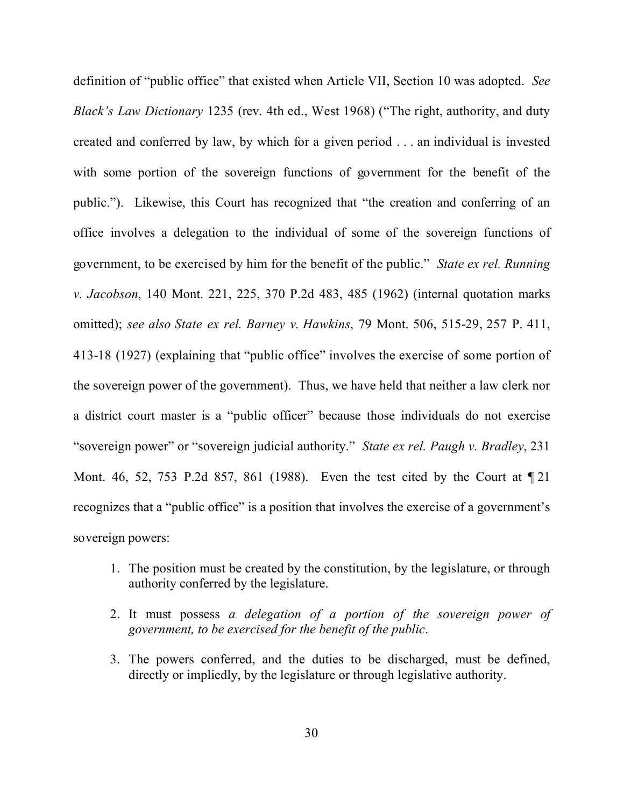definition of "public office" that existed when Article VII, Section 10 was adopted. *See Black's Law Dictionary* 1235 (rev. 4th ed., West 1968) ("The right, authority, and duty created and conferred by law, by which for a given period . . . an individual is invested with some portion of the sovereign functions of government for the benefit of the public."). Likewise, this Court has recognized that "the creation and conferring of an office involves a delegation to the individual of some of the sovereign functions of government, to be exercised by him for the benefit of the public." *State ex rel. Running v. Jacobson*, 140 Mont. 221, 225, 370 P.2d 483, 485 (1962) (internal quotation marks omitted); *see also State ex rel. Barney v. Hawkins*, 79 Mont. 506, 515-29, 257 P. 411, 413-18 (1927) (explaining that "public office" involves the exercise of some portion of the sovereign power of the government). Thus, we have held that neither a law clerk nor a district court master is a "public officer" because those individuals do not exercise "sovereign power" or "sovereign judicial authority." *State ex rel. Paugh v. Bradley*, 231 Mont. 46, 52, 753 P.2d 857, 861 (1988). Even the test cited by the Court at ¶ 21 recognizes that a "public office" is a position that involves the exercise of a government's sovereign powers:

- 1. The position must be created by the constitution, by the legislature, or through authority conferred by the legislature.
- 2. It must possess *a delegation of a portion of the sovereign power of government, to be exercised for the benefit of the public*.
- 3. The powers conferred, and the duties to be discharged, must be defined, directly or impliedly, by the legislature or through legislative authority.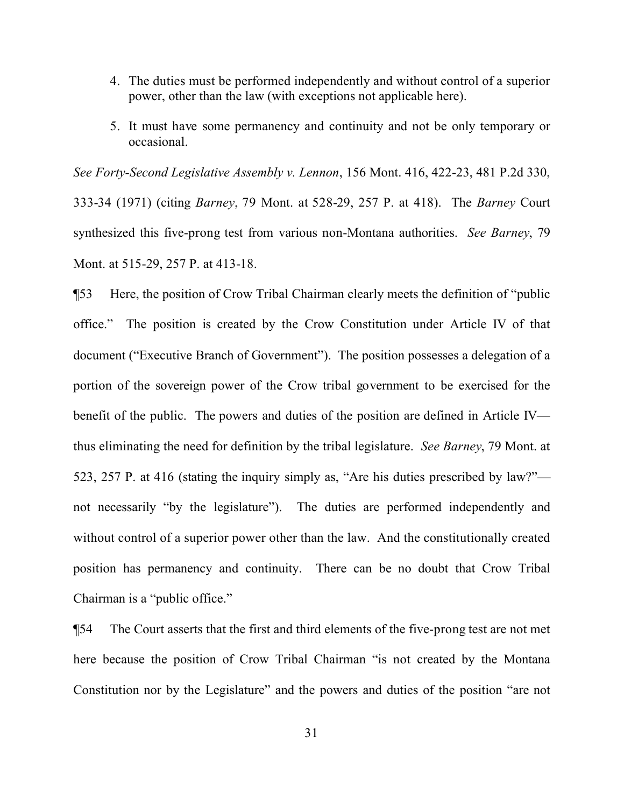- 4. The duties must be performed independently and without control of a superior power, other than the law (with exceptions not applicable here).
- 5. It must have some permanency and continuity and not be only temporary or occasional.

*See Forty-Second Legislative Assembly v. Lennon*, 156 Mont. 416, 422-23, 481 P.2d 330, 333-34 (1971) (citing *Barney*, 79 Mont. at 528-29, 257 P. at 418). The *Barney* Court synthesized this five-prong test from various non-Montana authorities. *See Barney*, 79 Mont. at 515-29, 257 P. at 413-18.

¶53 Here, the position of Crow Tribal Chairman clearly meets the definition of "public office." The position is created by the Crow Constitution under Article IV of that document ("Executive Branch of Government"). The position possesses a delegation of a portion of the sovereign power of the Crow tribal government to be exercised for the benefit of the public. The powers and duties of the position are defined in Article IV thus eliminating the need for definition by the tribal legislature. *See Barney*, 79 Mont. at 523, 257 P. at 416 (stating the inquiry simply as, "Are his duties prescribed by law?" not necessarily "by the legislature"). The duties are performed independently and without control of a superior power other than the law. And the constitutionally created position has permanency and continuity. There can be no doubt that Crow Tribal Chairman is a "public office."

¶54 The Court asserts that the first and third elements of the five-prong test are not met here because the position of Crow Tribal Chairman "is not created by the Montana Constitution nor by the Legislature" and the powers and duties of the position "are not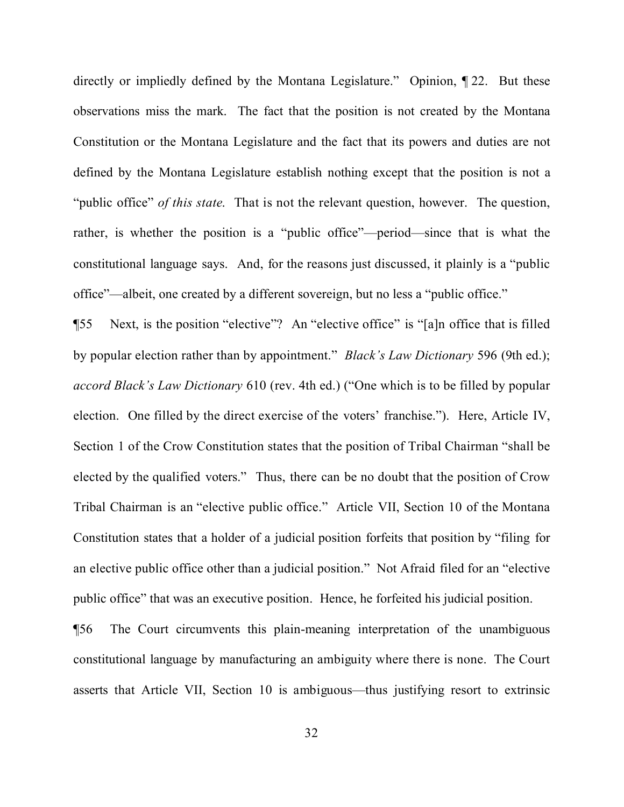directly or impliedly defined by the Montana Legislature." Opinion, ¶ 22. But these observations miss the mark. The fact that the position is not created by the Montana Constitution or the Montana Legislature and the fact that its powers and duties are not defined by the Montana Legislature establish nothing except that the position is not a "public office" *of this state*. That is not the relevant question, however. The question, rather, is whether the position is a "public office"—period—since that is what the constitutional language says. And, for the reasons just discussed, it plainly is a "public office"—albeit, one created by a different sovereign, but no less a "public office."

¶55 Next, is the position "elective"? An "elective office" is "[a]n office that is filled by popular election rather than by appointment." *Black's Law Dictionary* 596 (9th ed.); *accord Black's Law Dictionary* 610 (rev. 4th ed.) ("One which is to be filled by popular election. One filled by the direct exercise of the voters' franchise."). Here, Article IV, Section 1 of the Crow Constitution states that the position of Tribal Chairman "shall be elected by the qualified voters." Thus, there can be no doubt that the position of Crow Tribal Chairman is an "elective public office." Article VII, Section 10 of the Montana Constitution states that a holder of a judicial position forfeits that position by "filing for an elective public office other than a judicial position." Not Afraid filed for an "elective public office" that was an executive position. Hence, he forfeited his judicial position.

¶56 The Court circumvents this plain-meaning interpretation of the unambiguous constitutional language by manufacturing an ambiguity where there is none. The Court asserts that Article VII, Section 10 is ambiguous—thus justifying resort to extrinsic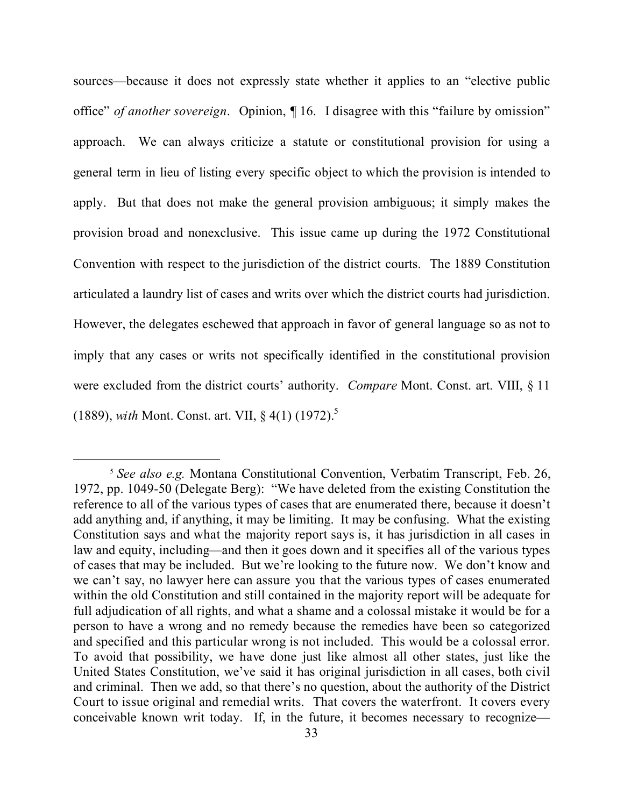sources—because it does not expressly state whether it applies to an "elective public office" *of another sovereign*. Opinion, ¶ 16. I disagree with this "failure by omission" approach. We can always criticize a statute or constitutional provision for using a general term in lieu of listing every specific object to which the provision is intended to apply. But that does not make the general provision ambiguous; it simply makes the provision broad and nonexclusive. This issue came up during the 1972 Constitutional Convention with respect to the jurisdiction of the district courts. The 1889 Constitution articulated a laundry list of cases and writs over which the district courts had jurisdiction. However, the delegates eschewed that approach in favor of general language so as not to imply that any cases or writs not specifically identified in the constitutional provision were excluded from the district courts' authority. *Compare* Mont. Const. art. VIII, § 11 (1889), *with* Mont. Const. art. VII, § 4(1) (1972).[5](#page-32-0)

 $\overline{a}$ 

<span id="page-32-0"></span><sup>5</sup> *See also e.g.* Montana Constitutional Convention, Verbatim Transcript, Feb. 26, 1972, pp. 1049-50 (Delegate Berg): "We have deleted from the existing Constitution the reference to all of the various types of cases that are enumerated there, because it doesn't add anything and, if anything, it may be limiting. It may be confusing. What the existing Constitution says and what the majority report says is, it has jurisdiction in all cases in law and equity, including—and then it goes down and it specifies all of the various types of cases that may be included. But we're looking to the future now. We don't know and we can't say, no lawyer here can assure you that the various types of cases enumerated within the old Constitution and still contained in the majority report will be adequate for full adjudication of all rights, and what a shame and a colossal mistake it would be for a person to have a wrong and no remedy because the remedies have been so categorized and specified and this particular wrong is not included. This would be a colossal error. To avoid that possibility, we have done just like almost all other states, just like the United States Constitution, we've said it has original jurisdiction in all cases, both civil and criminal. Then we add, so that there's no question, about the authority of the District Court to issue original and remedial writs. That covers the waterfront. It covers every conceivable known writ today. If, in the future, it becomes necessary to recognize—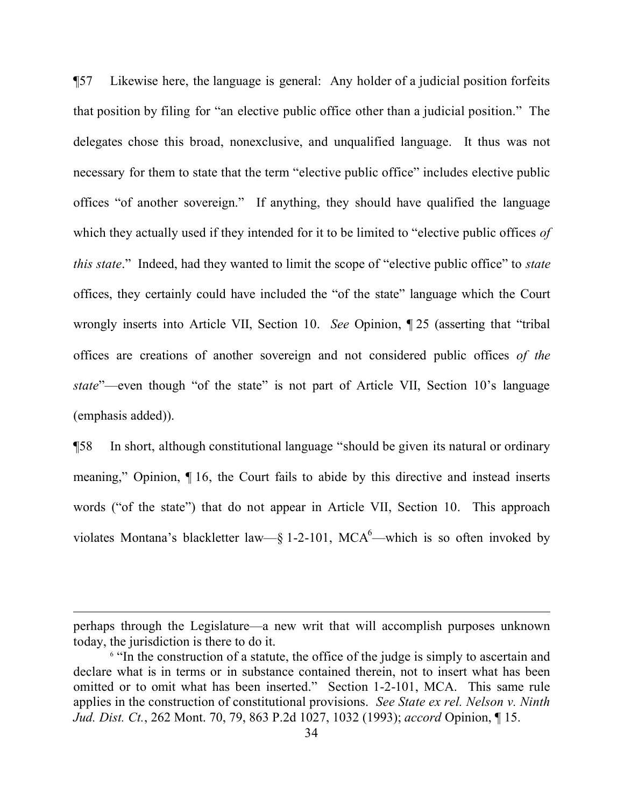¶57 Likewise here, the language is general: Any holder of a judicial position forfeits that position by filing for "an elective public office other than a judicial position." The delegates chose this broad, nonexclusive, and unqualified language. It thus was not necessary for them to state that the term "elective public office" includes elective public offices "of another sovereign." If anything, they should have qualified the language which they actually used if they intended for it to be limited to "elective public offices *of this state*." Indeed, had they wanted to limit the scope of "elective public office" to *state* offices, they certainly could have included the "of the state" language which the Court wrongly inserts into Article VII, Section 10. *See* Opinion, ¶ 25 (asserting that "tribal offices are creations of another sovereign and not considered public offices *of the state*"—even though "of the state" is not part of Article VII, Section 10's language (emphasis added)).

¶58 In short, although constitutional language "should be given its natural or ordinary meaning," Opinion, ¶ 16, the Court fails to abide by this directive and instead inserts words ("of the state") that do not appear in Article VII, Section 10. This approach violates Montana's blackletter law—§ 1-2-101, MCA<sup>[6](#page-33-0)</sup>—which is so often invoked by

 $\overline{a}$ 

perhaps through the Legislature—a new writ that will accomplish purposes unknown today, the jurisdiction is there to do it.

<span id="page-33-0"></span><sup>&</sup>lt;sup>6</sup> "In the construction of a statute, the office of the judge is simply to ascertain and declare what is in terms or in substance contained therein, not to insert what has been omitted or to omit what has been inserted." Section 1-2-101, MCA. This same rule applies in the construction of constitutional provisions. *See State ex rel. Nelson v. Ninth Jud. Dist. Ct.*, 262 Mont. 70, 79, 863 P.2d 1027, 1032 (1993); *accord* Opinion, ¶ 15.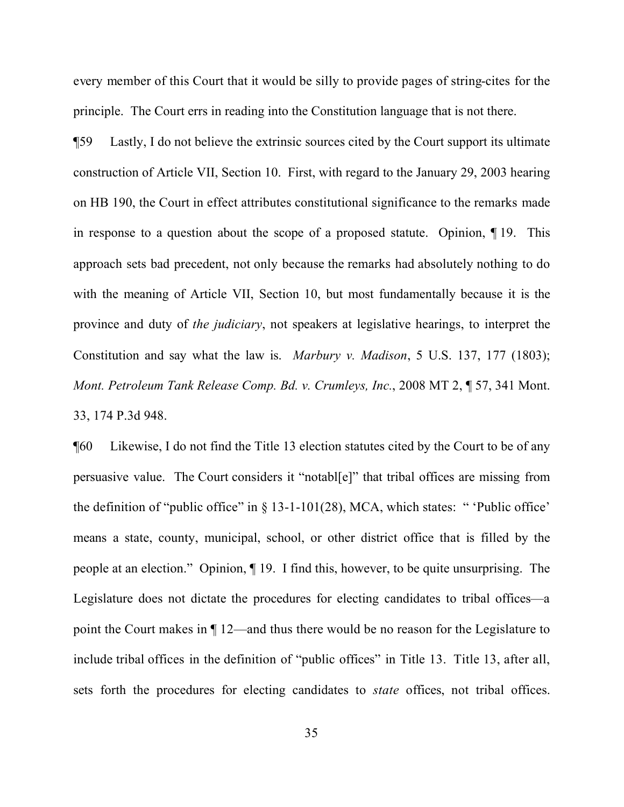every member of this Court that it would be silly to provide pages of string-cites for the principle. The Court errs in reading into the Constitution language that is not there.

¶59 Lastly, I do not believe the extrinsic sources cited by the Court support its ultimate construction of Article VII, Section 10. First, with regard to the January 29, 2003 hearing on HB 190, the Court in effect attributes constitutional significance to the remarks made in response to a question about the scope of a proposed statute. Opinion, ¶ 19. This approach sets bad precedent, not only because the remarks had absolutely nothing to do with the meaning of Article VII, Section 10, but most fundamentally because it is the province and duty of *the judiciary*, not speakers at legislative hearings, to interpret the Constitution and say what the law is. *Marbury v. Madison*, 5 U.S. 137, 177 (1803); *Mont. Petroleum Tank Release Comp. Bd. v. Crumleys, Inc.*, 2008 MT 2, ¶ 57, 341 Mont. 33, 174 P.3d 948.

¶60 Likewise, I do not find the Title 13 election statutes cited by the Court to be of any persuasive value. The Court considers it "notabl[e]" that tribal offices are missing from the definition of "public office" in  $\S$  13-1-101(28), MCA, which states: " 'Public office' means a state, county, municipal, school, or other district office that is filled by the people at an election." Opinion, ¶ 19. I find this, however, to be quite unsurprising. The Legislature does not dictate the procedures for electing candidates to tribal offices—a point the Court makes in ¶ 12—and thus there would be no reason for the Legislature to include tribal offices in the definition of "public offices" in Title 13. Title 13, after all, sets forth the procedures for electing candidates to *state* offices, not tribal offices.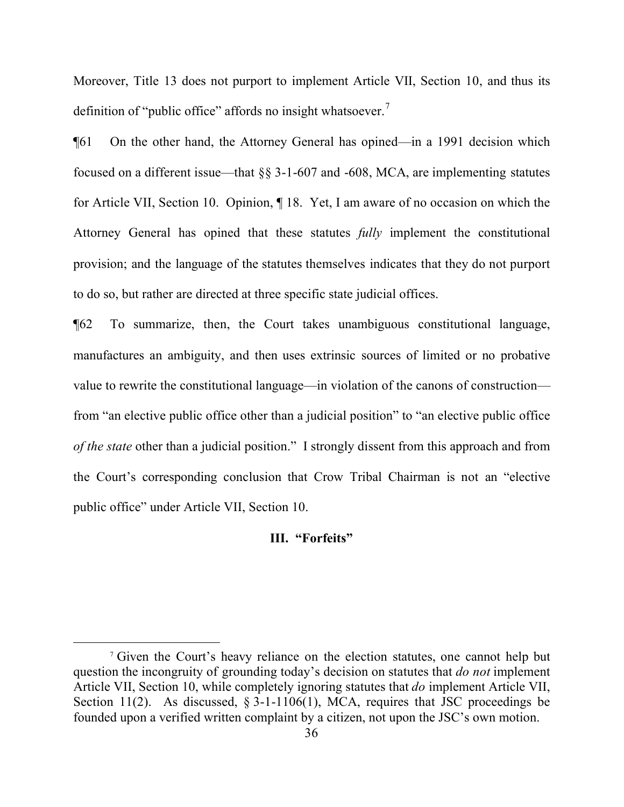Moreover, Title 13 does not purport to implement Article VII, Section 10, and thus its definition of "public office" affords no insight whatsoever.<sup>[7](#page-35-0)</sup>

¶61 On the other hand, the Attorney General has opined—in a 1991 decision which focused on a different issue—that §§ 3-1-607 and -608, MCA, are implementing statutes for Article VII, Section 10. Opinion, ¶ 18. Yet, I am aware of no occasion on which the Attorney General has opined that these statutes *fully* implement the constitutional provision; and the language of the statutes themselves indicates that they do not purport to do so, but rather are directed at three specific state judicial offices.

¶62 To summarize, then, the Court takes unambiguous constitutional language, manufactures an ambiguity, and then uses extrinsic sources of limited or no probative value to rewrite the constitutional language—in violation of the canons of construction from "an elective public office other than a judicial position" to "an elective public office *of the state* other than a judicial position." I strongly dissent from this approach and from the Court's corresponding conclusion that Crow Tribal Chairman is not an "elective public office" under Article VII, Section 10.

## **III. "Forfeits"**

<span id="page-35-0"></span><sup>&</sup>lt;sup>7</sup> Given the Court's heavy reliance on the election statutes, one cannot help but question the incongruity of grounding today's decision on statutes that *do not* implement Article VII, Section 10, while completely ignoring statutes that *do* implement Article VII, Section 11(2). As discussed,  $\S 3$ -1-1106(1), MCA, requires that JSC proceedings be founded upon a verified written complaint by a citizen, not upon the JSC's own motion.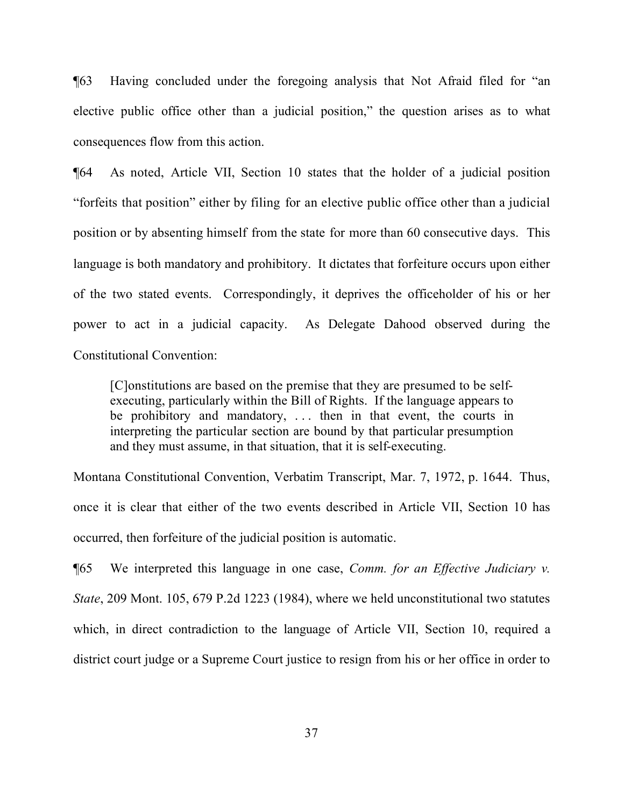¶63 Having concluded under the foregoing analysis that Not Afraid filed for "an elective public office other than a judicial position," the question arises as to what consequences flow from this action.

¶64 As noted, Article VII, Section 10 states that the holder of a judicial position "forfeits that position" either by filing for an elective public office other than a judicial position or by absenting himself from the state for more than 60 consecutive days. This language is both mandatory and prohibitory. It dictates that forfeiture occurs upon either of the two stated events. Correspondingly, it deprives the officeholder of his or her power to act in a judicial capacity. As Delegate Dahood observed during the Constitutional Convention:

[C]onstitutions are based on the premise that they are presumed to be selfexecuting, particularly within the Bill of Rights. If the language appears to be prohibitory and mandatory, ... then in that event, the courts in interpreting the particular section are bound by that particular presumption and they must assume, in that situation, that it is self-executing.

Montana Constitutional Convention, Verbatim Transcript, Mar. 7, 1972, p. 1644. Thus, once it is clear that either of the two events described in Article VII, Section 10 has occurred, then forfeiture of the judicial position is automatic.

¶65 We interpreted this language in one case, *Comm. for an Effective Judiciary v. State*, 209 Mont. 105, 679 P.2d 1223 (1984), where we held unconstitutional two statutes which, in direct contradiction to the language of Article VII, Section 10, required a district court judge or a Supreme Court justice to resign from his or her office in order to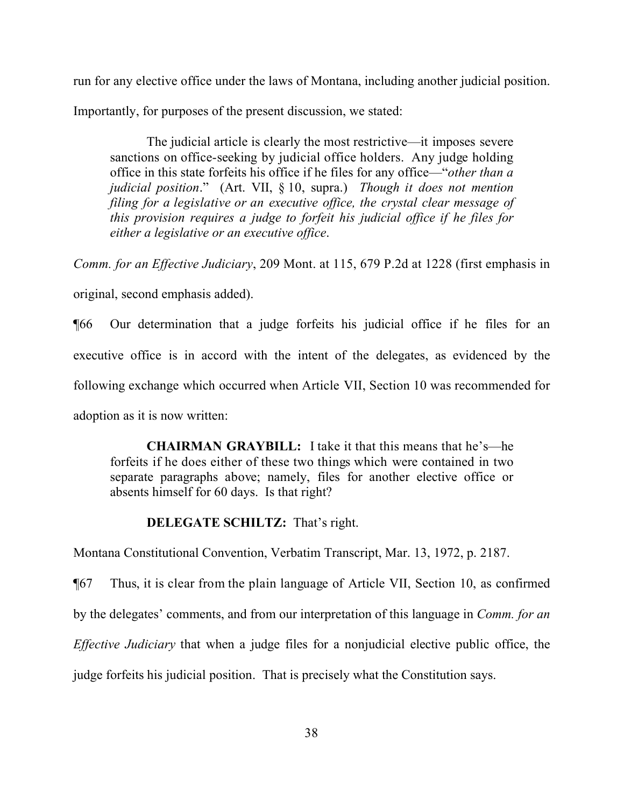run for any elective office under the laws of Montana, including another judicial position.

Importantly, for purposes of the present discussion, we stated:

The judicial article is clearly the most restrictive—it imposes severe sanctions on office-seeking by judicial office holders. Any judge holding office in this state forfeits his office if he files for any office—"*other than a judicial position*." (Art. VII, § 10, supra.) *Though it does not mention filing for a legislative or an executive office, the crystal clear message of this provision requires a judge to forfeit his judicial office if he files for either a legislative or an executive office*.

*Comm. for an Effective Judiciary*, 209 Mont. at 115, 679 P.2d at 1228 (first emphasis in original, second emphasis added).

¶66 Our determination that a judge forfeits his judicial office if he files for an executive office is in accord with the intent of the delegates, as evidenced by the following exchange which occurred when Article VII, Section 10 was recommended for adoption as it is now written:

**CHAIRMAN GRAYBILL:** I take it that this means that he's—he forfeits if he does either of these two things which were contained in two separate paragraphs above; namely, files for another elective office or absents himself for 60 days. Is that right?

## **DELEGATE SCHILTZ:** That's right.

Montana Constitutional Convention, Verbatim Transcript, Mar. 13, 1972, p. 2187.

¶67 Thus, it is clear from the plain language of Article VII, Section 10, as confirmed by the delegates' comments, and from our interpretation of this language in *Comm. for an Effective Judiciary* that when a judge files for a nonjudicial elective public office, the judge forfeits his judicial position. That is precisely what the Constitution says.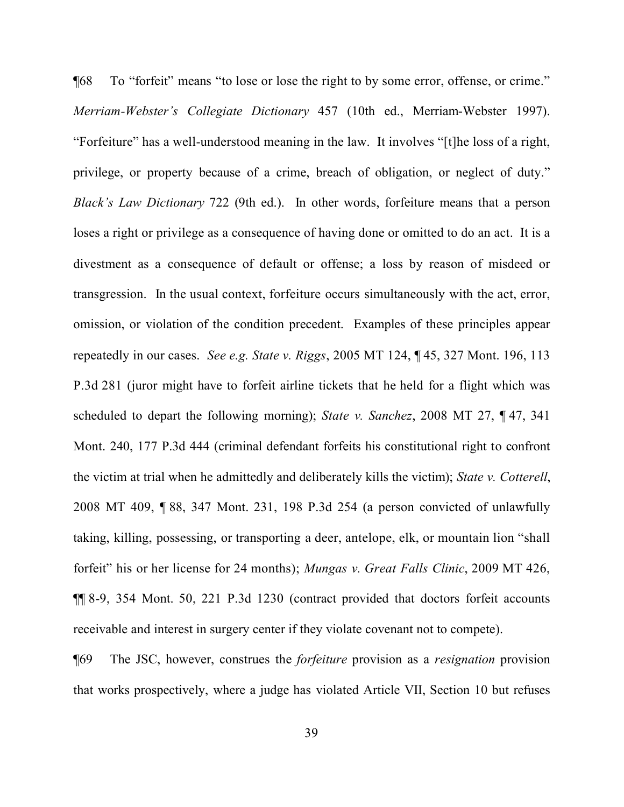¶68 To "forfeit" means "to lose or lose the right to by some error, offense, or crime." *Merriam-Webster's Collegiate Dictionary* 457 (10th ed., Merriam-Webster 1997). "Forfeiture" has a well-understood meaning in the law. It involves "[t]he loss of a right, privilege, or property because of a crime, breach of obligation, or neglect of duty." *Black's Law Dictionary* 722 (9th ed.). In other words, forfeiture means that a person loses a right or privilege as a consequence of having done or omitted to do an act. It is a divestment as a consequence of default or offense; a loss by reason of misdeed or transgression. In the usual context, forfeiture occurs simultaneously with the act, error, omission, or violation of the condition precedent. Examples of these principles appear repeatedly in our cases. *See e.g. State v. Riggs*, 2005 MT 124, ¶ 45, 327 Mont. 196, 113 P.3d 281 (juror might have to forfeit airline tickets that he held for a flight which was scheduled to depart the following morning); *State v. Sanchez*, 2008 MT 27, ¶ 47, 341 Mont. 240, 177 P.3d 444 (criminal defendant forfeits his constitutional right to confront the victim at trial when he admittedly and deliberately kills the victim); *State v. Cotterell*, 2008 MT 409, ¶ 88, 347 Mont. 231, 198 P.3d 254 (a person convicted of unlawfully taking, killing, possessing, or transporting a deer, antelope, elk, or mountain lion "shall forfeit" his or her license for 24 months); *Mungas v. Great Falls Clinic*, 2009 MT 426, ¶¶ 8-9, 354 Mont. 50, 221 P.3d 1230 (contract provided that doctors forfeit accounts receivable and interest in surgery center if they violate covenant not to compete).

¶69 The JSC, however, construes the *forfeiture* provision as a *resignation* provision that works prospectively, where a judge has violated Article VII, Section 10 but refuses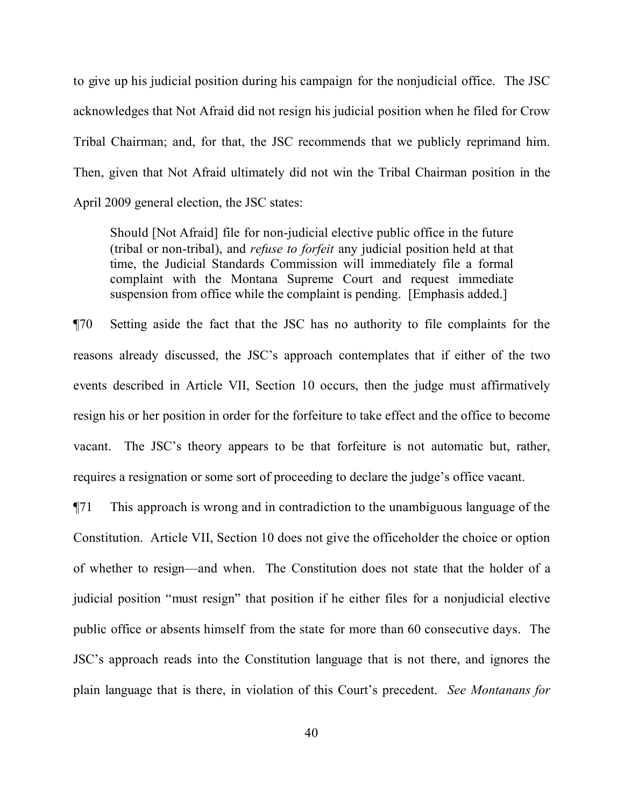to give up his judicial position during his campaign for the nonjudicial office. The JSC acknowledges that Not Afraid did not resign his judicial position when he filed for Crow Tribal Chairman; and, for that, the JSC recommends that we publicly reprimand him. Then, given that Not Afraid ultimately did not win the Tribal Chairman position in the April 2009 general election, the JSC states:

Should [Not Afraid] file for non-judicial elective public office in the future (tribal or non-tribal), and *refuse to forfeit* any judicial position held at that time, the Judicial Standards Commission will immediately file a formal complaint with the Montana Supreme Court and request immediate suspension from office while the complaint is pending. [Emphasis added.]

¶70 Setting aside the fact that the JSC has no authority to file complaints for the reasons already discussed, the JSC's approach contemplates that if either of the two events described in Article VII, Section 10 occurs, then the judge must affirmatively resign his or her position in order for the forfeiture to take effect and the office to become vacant. The JSC's theory appears to be that forfeiture is not automatic but, rather, requires a resignation or some sort of proceeding to declare the judge's office vacant.

¶71 This approach is wrong and in contradiction to the unambiguous language of the Constitution. Article VII, Section 10 does not give the officeholder the choice or option of whether to resign—and when. The Constitution does not state that the holder of a judicial position "must resign" that position if he either files for a nonjudicial elective public office or absents himself from the state for more than 60 consecutive days. The JSC's approach reads into the Constitution language that is not there, and ignores the plain language that is there, in violation of this Court's precedent. *See Montanans for*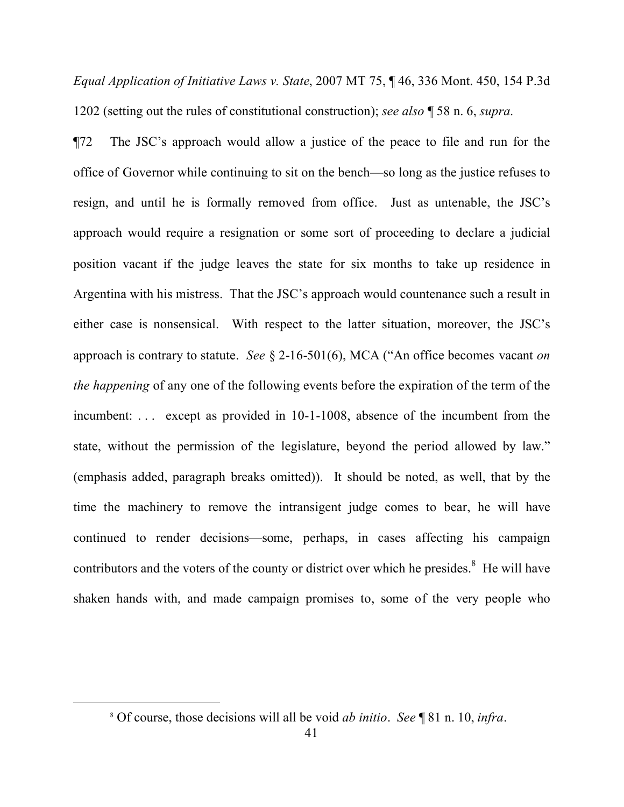*Equal Application of Initiative Laws v. State*, 2007 MT 75, ¶ 46, 336 Mont. 450, 154 P.3d 1202 (setting out the rules of constitutional construction); *see also* ¶ 58 n. 6, *supra*.

¶72 The JSC's approach would allow a justice of the peace to file and run for the office of Governor while continuing to sit on the bench—so long as the justice refuses to resign, and until he is formally removed from office. Just as untenable, the JSC's approach would require a resignation or some sort of proceeding to declare a judicial position vacant if the judge leaves the state for six months to take up residence in Argentina with his mistress. That the JSC's approach would countenance such a result in either case is nonsensical. With respect to the latter situation, moreover, the JSC's approach is contrary to statute. *See* § 2-16-501(6), MCA ("An office becomes vacant *on the happening* of any one of the following events before the expiration of the term of the incumbent: . . . except as provided in 10-1-1008, absence of the incumbent from the state, without the permission of the legislature, beyond the period allowed by law." (emphasis added, paragraph breaks omitted)). It should be noted, as well, that by the time the machinery to remove the intransigent judge comes to bear, he will have continued to render decisions—some, perhaps, in cases affecting his campaign contributors and the voters of the county or district over which he presides. $8$  He will have shaken hands with, and made campaign promises to, some of the very people who

<span id="page-40-0"></span>

<sup>8</sup> Of course, those decisions will all be void *ab initio*. *See* ¶ 81 n. 10, *infra*.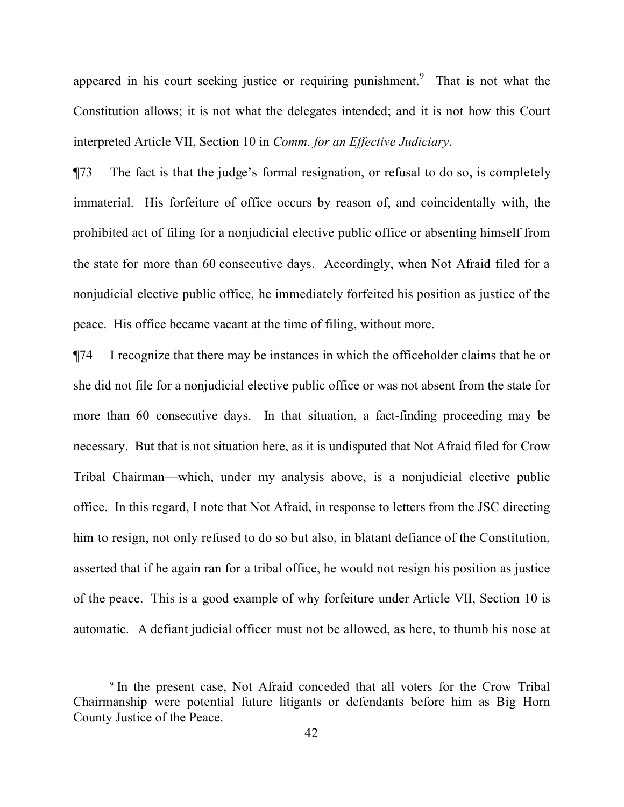appeared in his court seeking justice or requiring punishment. <sup>[9](#page-41-0)</sup> That is not what the Constitution allows; it is not what the delegates intended; and it is not how this Court interpreted Article VII, Section 10 in *Comm. for an Effective Judiciary*.

¶73 The fact is that the judge's formal resignation, or refusal to do so, is completely immaterial. His forfeiture of office occurs by reason of, and coincidentally with, the prohibited act of filing for a nonjudicial elective public office or absenting himself from the state for more than 60 consecutive days. Accordingly, when Not Afraid filed for a nonjudicial elective public office, he immediately forfeited his position as justice of the peace. His office became vacant at the time of filing, without more.

¶74 I recognize that there may be instances in which the officeholder claims that he or she did not file for a nonjudicial elective public office or was not absent from the state for more than 60 consecutive days. In that situation, a fact-finding proceeding may be necessary. But that is not situation here, as it is undisputed that Not Afraid filed for Crow Tribal Chairman—which, under my analysis above, is a nonjudicial elective public office. In this regard, I note that Not Afraid, in response to letters from the JSC directing him to resign, not only refused to do so but also, in blatant defiance of the Constitution, asserted that if he again ran for a tribal office, he would not resign his position as justice of the peace. This is a good example of why forfeiture under Article VII, Section 10 is automatic. A defiant judicial officer must not be allowed, as here, to thumb his nose at

 $\overline{a}$ 

<span id="page-41-0"></span><sup>9</sup> In the present case, Not Afraid conceded that all voters for the Crow Tribal Chairmanship were potential future litigants or defendants before him as Big Horn County Justice of the Peace.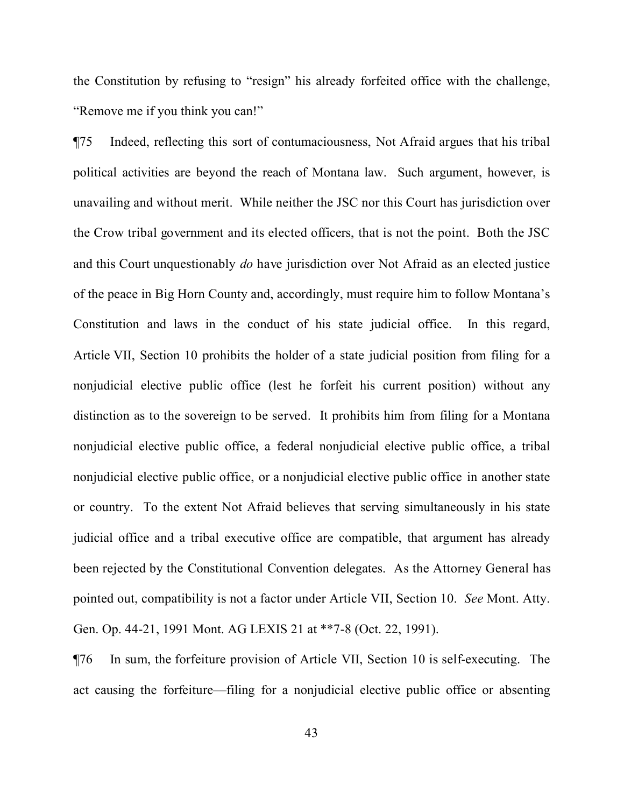the Constitution by refusing to "resign" his already forfeited office with the challenge, "Remove me if you think you can!"

¶75 Indeed, reflecting this sort of contumaciousness, Not Afraid argues that his tribal political activities are beyond the reach of Montana law. Such argument, however, is unavailing and without merit. While neither the JSC nor this Court has jurisdiction over the Crow tribal government and its elected officers, that is not the point. Both the JSC and this Court unquestionably *do* have jurisdiction over Not Afraid as an elected justice of the peace in Big Horn County and, accordingly, must require him to follow Montana's Constitution and laws in the conduct of his state judicial office. In this regard, Article VII, Section 10 prohibits the holder of a state judicial position from filing for a nonjudicial elective public office (lest he forfeit his current position) without any distinction as to the sovereign to be served. It prohibits him from filing for a Montana nonjudicial elective public office, a federal nonjudicial elective public office, a tribal nonjudicial elective public office, or a nonjudicial elective public office in another state or country. To the extent Not Afraid believes that serving simultaneously in his state judicial office and a tribal executive office are compatible, that argument has already been rejected by the Constitutional Convention delegates. As the Attorney General has pointed out, compatibility is not a factor under Article VII, Section 10. *See* Mont. Atty. Gen. Op. 44-21, 1991 Mont. AG LEXIS 21 at \*\*7-8 (Oct. 22, 1991).

¶76 In sum, the forfeiture provision of Article VII, Section 10 is self-executing. The act causing the forfeiture—filing for a nonjudicial elective public office or absenting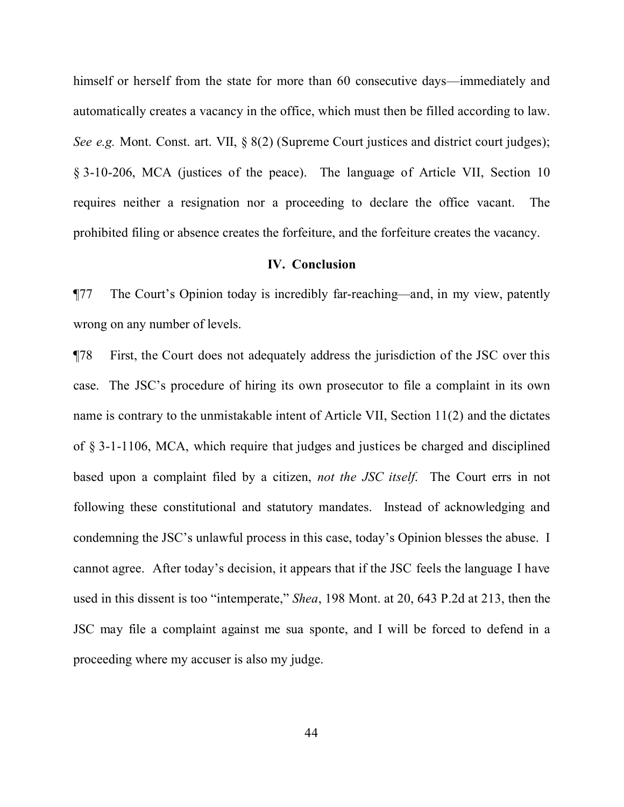himself or herself from the state for more than 60 consecutive days—immediately and automatically creates a vacancy in the office, which must then be filled according to law. *See e.g.* Mont. Const. art. VII,  $\frac{8}{82}$  (Supreme Court justices and district court judges); § 3-10-206, MCA (justices of the peace). The language of Article VII, Section 10 requires neither a resignation nor a proceeding to declare the office vacant. The prohibited filing or absence creates the forfeiture, and the forfeiture creates the vacancy.

#### **IV. Conclusion**

¶77 The Court's Opinion today is incredibly far-reaching—and, in my view, patently wrong on any number of levels.

¶78 First, the Court does not adequately address the jurisdiction of the JSC over this case. The JSC's procedure of hiring its own prosecutor to file a complaint in its own name is contrary to the unmistakable intent of Article VII, Section 11(2) and the dictates of § 3-1-1106, MCA, which require that judges and justices be charged and disciplined based upon a complaint filed by a citizen, *not the JSC itself*. The Court errs in not following these constitutional and statutory mandates. Instead of acknowledging and condemning the JSC's unlawful process in this case, today's Opinion blesses the abuse. I cannot agree. After today's decision, it appears that if the JSC feels the language I have used in this dissent is too "intemperate," *Shea*, 198 Mont. at 20, 643 P.2d at 213, then the JSC may file a complaint against me sua sponte, and I will be forced to defend in a proceeding where my accuser is also my judge.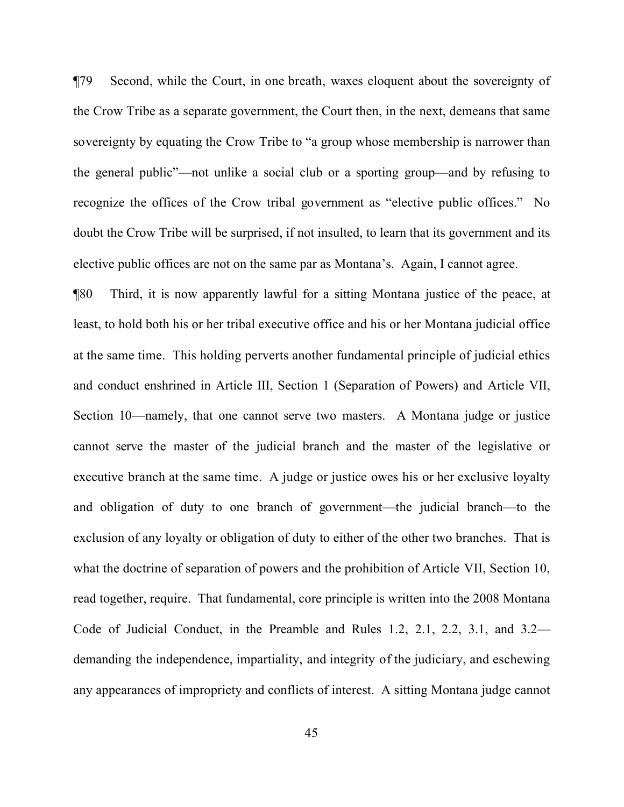¶79 Second, while the Court, in one breath, waxes eloquent about the sovereignty of the Crow Tribe as a separate government, the Court then, in the next, demeans that same sovereignty by equating the Crow Tribe to "a group whose membership is narrower than the general public"—not unlike a social club or a sporting group—and by refusing to recognize the offices of the Crow tribal government as "elective public offices." No doubt the Crow Tribe will be surprised, if not insulted, to learn that its government and its elective public offices are not on the same par as Montana's. Again, I cannot agree.

¶80 Third, it is now apparently lawful for a sitting Montana justice of the peace, at least, to hold both his or her tribal executive office and his or her Montana judicial office at the same time. This holding perverts another fundamental principle of judicial ethics and conduct enshrined in Article III, Section 1 (Separation of Powers) and Article VII, Section 10—namely, that one cannot serve two masters. A Montana judge or justice cannot serve the master of the judicial branch and the master of the legislative or executive branch at the same time. A judge or justice owes his or her exclusive loyalty and obligation of duty to one branch of government—the judicial branch—to the exclusion of any loyalty or obligation of duty to either of the other two branches. That is what the doctrine of separation of powers and the prohibition of Article VII, Section 10, read together, require. That fundamental, core principle is written into the 2008 Montana Code of Judicial Conduct, in the Preamble and Rules 1.2, 2.1, 2.2, 3.1, and 3.2 demanding the independence, impartiality, and integrity of the judiciary, and eschewing any appearances of impropriety and conflicts of interest. A sitting Montana judge cannot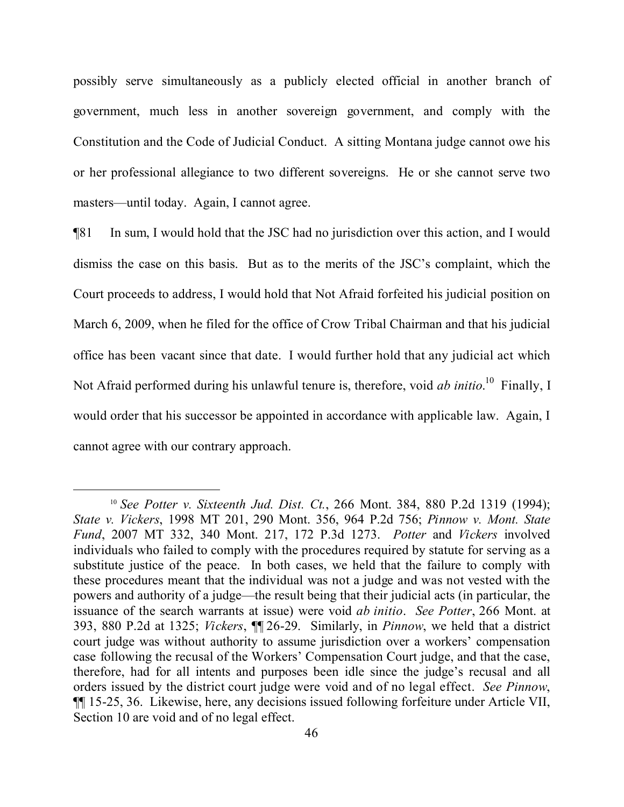possibly serve simultaneously as a publicly elected official in another branch of government, much less in another sovereign government, and comply with the Constitution and the Code of Judicial Conduct. A sitting Montana judge cannot owe his or her professional allegiance to two different sovereigns. He or she cannot serve two masters—until today. Again, I cannot agree.

¶81 In sum, I would hold that the JSC had no jurisdiction over this action, and I would dismiss the case on this basis. But as to the merits of the JSC's complaint, which the Court proceeds to address, I would hold that Not Afraid forfeited his judicial position on March 6, 2009, when he filed for the office of Crow Tribal Chairman and that his judicial office has been vacant since that date. I would further hold that any judicial act which Not Afraid performed during his unlawful tenure is, therefore, void *ab initio*.<sup>[10](#page-45-0)</sup> Finally, I would order that his successor be appointed in accordance with applicable law. Again, I cannot agree with our contrary approach.

 $\overline{a}$ 

<span id="page-45-0"></span><sup>10</sup> *See Potter v. Sixteenth Jud. Dist. Ct.*, 266 Mont. 384, 880 P.2d 1319 (1994); *State v. Vickers*, 1998 MT 201, 290 Mont. 356, 964 P.2d 756; *Pinnow v. Mont. State Fund*, 2007 MT 332, 340 Mont. 217, 172 P.3d 1273. *Potter* and *Vickers* involved individuals who failed to comply with the procedures required by statute for serving as a substitute justice of the peace. In both cases, we held that the failure to comply with these procedures meant that the individual was not a judge and was not vested with the powers and authority of a judge—the result being that their judicial acts (in particular, the issuance of the search warrants at issue) were void *ab initio*. *See Potter*, 266 Mont. at 393, 880 P.2d at 1325; *Vickers*, ¶¶ 26-29. Similarly, in *Pinnow*, we held that a district court judge was without authority to assume jurisdiction over a workers' compensation case following the recusal of the Workers' Compensation Court judge, and that the case, therefore, had for all intents and purposes been idle since the judge's recusal and all orders issued by the district court judge were void and of no legal effect. *See Pinnow*, ¶¶ 15-25, 36. Likewise, here, any decisions issued following forfeiture under Article VII, Section 10 are void and of no legal effect.